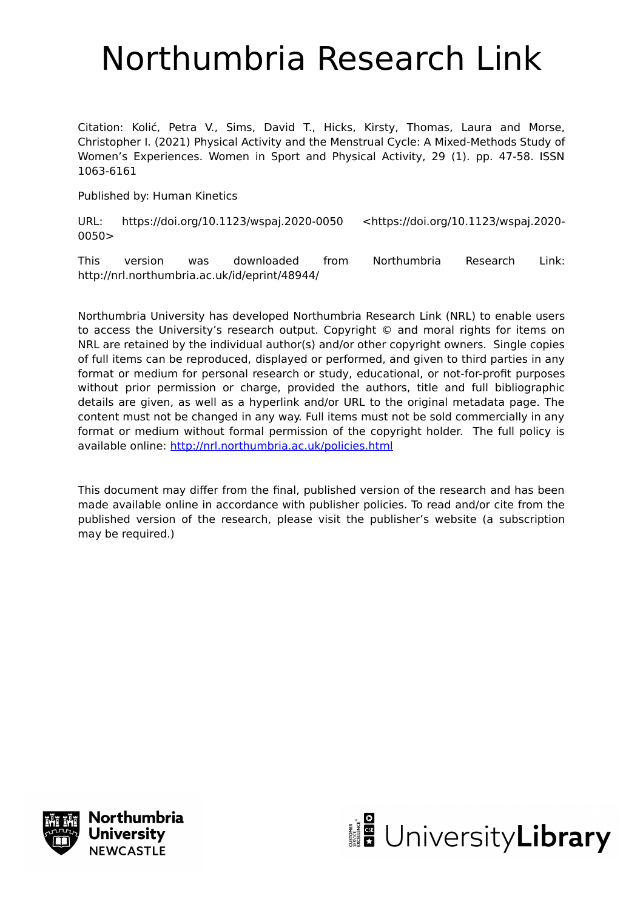# Northumbria Research Link

Citation: Kolić, Petra V., Sims, David T., Hicks, Kirsty, Thomas, Laura and Morse, Christopher I. (2021) Physical Activity and the Menstrual Cycle: A Mixed-Methods Study of Women's Experiences. Women in Sport and Physical Activity, 29 (1). pp. 47-58. ISSN 1063-6161

Published by: Human Kinetics

URL: https://doi.org/10.1123/wspaj.2020-0050 <https://doi.org/10.1123/wspaj.2020- 0050>

This version was downloaded from Northumbria Research Link: http://nrl.northumbria.ac.uk/id/eprint/48944/

Northumbria University has developed Northumbria Research Link (NRL) to enable users to access the University's research output. Copyright © and moral rights for items on NRL are retained by the individual author(s) and/or other copyright owners. Single copies of full items can be reproduced, displayed or performed, and given to third parties in any format or medium for personal research or study, educational, or not-for-profit purposes without prior permission or charge, provided the authors, title and full bibliographic details are given, as well as a hyperlink and/or URL to the original metadata page. The content must not be changed in any way. Full items must not be sold commercially in any format or medium without formal permission of the copyright holder. The full policy is available online:<http://nrl.northumbria.ac.uk/policies.html>

This document may differ from the final, published version of the research and has been made available online in accordance with publisher policies. To read and/or cite from the published version of the research, please visit the publisher's website (a subscription may be required.)



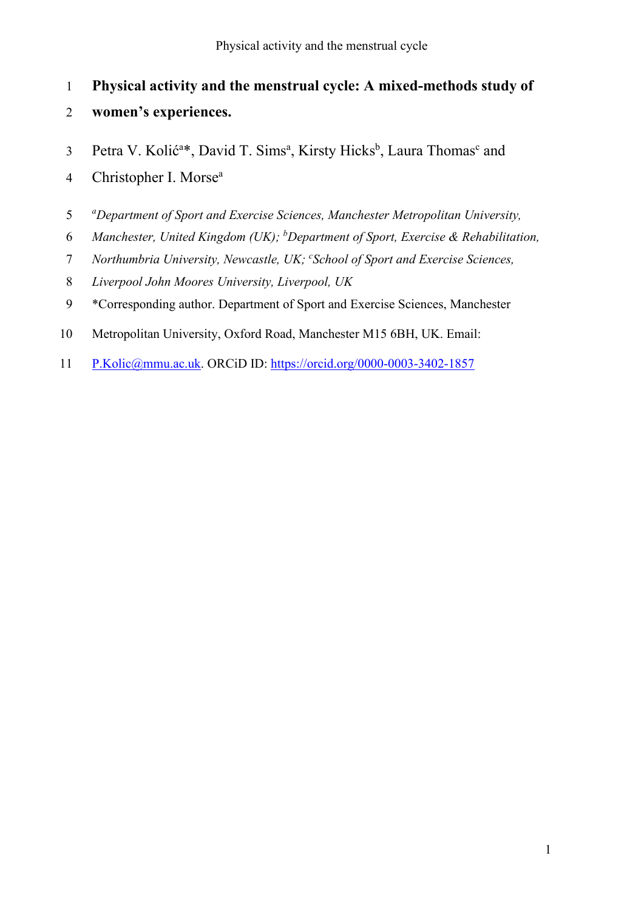- **Physical activity and the menstrual cycle: A mixed-methods study of**
- **women's experiences.**
- 3 Petra V. Kolić<sup>a\*</sup>, David T. Sims<sup>a</sup>, Kirsty Hicks<sup>b</sup>, Laura Thomas<sup>c</sup> and
- 4 Christopher I. Morse<sup>a</sup>
- *<sup>a</sup> Department of Sport and Exercise Sciences, Manchester Metropolitan University,*
- *Manchester, United Kingdom (UK);* <sup>*b*</sup> Department of Sport, Exercise & Rehabilitation,
- *Northumbria University, Newcastle, UK; "School of Sport and Exercise Sciences,*
- *Liverpool John Moores University, Liverpool, UK*
- \*Corresponding author. Department of Sport and Exercise Sciences, Manchester
- Metropolitan University, Oxford Road, Manchester M15 6BH, UK. Email:
- [P.Kolic@mmu.ac.uk.](mailto:P.Kolic@mmu.ac.uk) ORCiD ID:<https://orcid.org/0000-0003-3402-1857>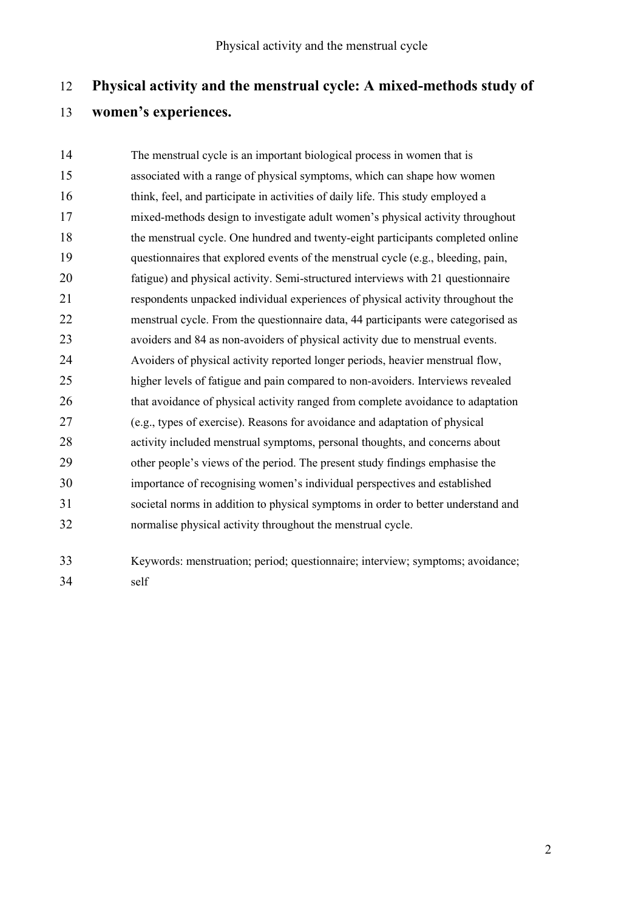# **Physical activity and the menstrual cycle: A mixed-methods study of women's experiences.**

 The menstrual cycle is an important biological process in women that is associated with a range of physical symptoms, which can shape how women think, feel, and participate in activities of daily life. This study employed a mixed-methods design to investigate adult women's physical activity throughout the menstrual cycle. One hundred and twenty-eight participants completed online questionnaires that explored events of the menstrual cycle (e.g., bleeding, pain, fatigue) and physical activity. Semi-structured interviews with 21 questionnaire respondents unpacked individual experiences of physical activity throughout the menstrual cycle. From the questionnaire data, 44 participants were categorised as avoiders and 84 as non-avoiders of physical activity due to menstrual events. Avoiders of physical activity reported longer periods, heavier menstrual flow, higher levels of fatigue and pain compared to non-avoiders. Interviews revealed that avoidance of physical activity ranged from complete avoidance to adaptation (e.g., types of exercise). Reasons for avoidance and adaptation of physical activity included menstrual symptoms, personal thoughts, and concerns about other people's views of the period. The present study findings emphasise the importance of recognising women's individual perspectives and established societal norms in addition to physical symptoms in order to better understand and normalise physical activity throughout the menstrual cycle.

 Keywords: menstruation; period; questionnaire; interview; symptoms; avoidance; self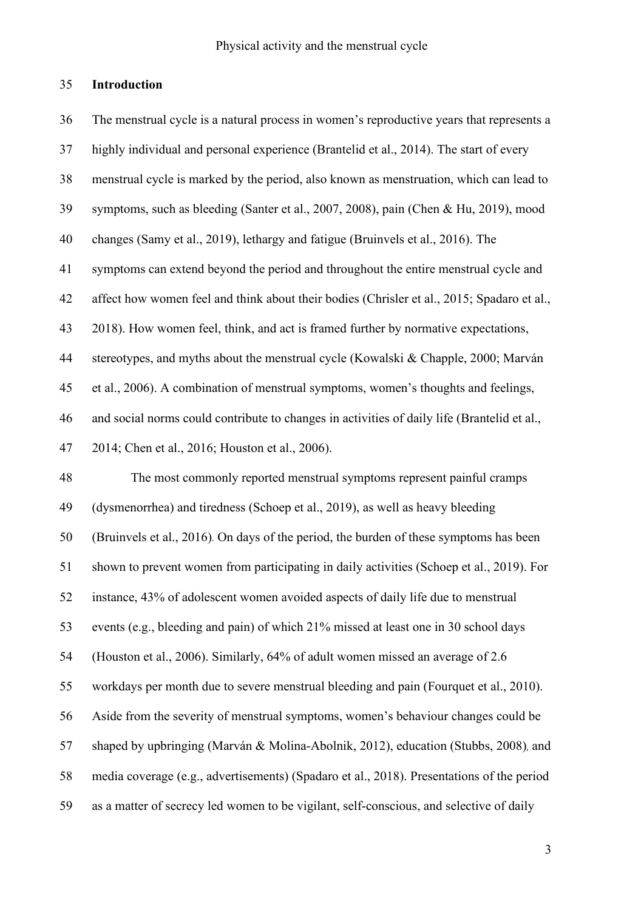## **Introduction**

 The menstrual cycle is a natural process in women's reproductive years that represents a highly individual and personal experience (Brantelid et al., 2014). The start of every menstrual cycle is marked by the period, also known as menstruation, which can lead to symptoms, such as bleeding (Santer et al., 2007, 2008), pain (Chen & Hu, 2019), mood changes (Samy et al., 2019), lethargy and fatigue (Bruinvels et al., 2016). The symptoms can extend beyond the period and throughout the entire menstrual cycle and affect how women feel and think about their bodies (Chrisler et al., 2015; Spadaro et al., 2018). How women feel, think, and act is framed further by normative expectations, stereotypes, and myths about the menstrual cycle (Kowalski & Chapple, 2000; Marván et al., 2006). A combination of menstrual symptoms, women's thoughts and feelings, and social norms could contribute to changes in activities of daily life (Brantelid et al., 2014; Chen et al., 2016; Houston et al., 2006). The most commonly reported menstrual symptoms represent painful cramps (dysmenorrhea) and tiredness (Schoep et al., 2019), as well as heavy bleeding (Bruinvels et al., 2016). On days of the period, the burden of these symptoms has been shown to prevent women from participating in daily activities (Schoep et al., 2019). For instance, 43% of adolescent women avoided aspects of daily life due to menstrual events (e.g., bleeding and pain) of which 21% missed at least one in 30 school days (Houston et al., 2006). Similarly, 64% of adult women missed an average of 2.6 workdays per month due to severe menstrual bleeding and pain (Fourquet et al., 2010). Aside from the severity of menstrual symptoms, women's behaviour changes could be shaped by upbringing (Marván & Molina-Abolnik, 2012), education (Stubbs, 2008), and media coverage (e.g., advertisements) (Spadaro et al., 2018). Presentations of the period as a matter of secrecy led women to be vigilant, self-conscious, and selective of daily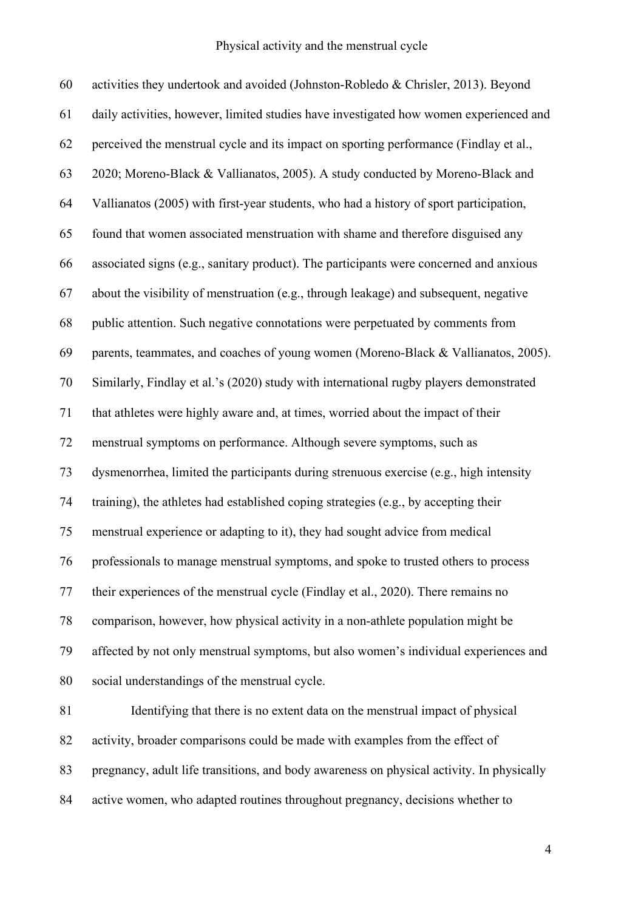activities they undertook and avoided (Johnston-Robledo & Chrisler, 2013). Beyond daily activities, however, limited studies have investigated how women experienced and perceived the menstrual cycle and its impact on sporting performance (Findlay et al., 2020; Moreno-Black & Vallianatos, 2005). A study conducted by Moreno-Black and Vallianatos (2005) with first-year students, who had a history of sport participation, found that women associated menstruation with shame and therefore disguised any associated signs (e.g., sanitary product). The participants were concerned and anxious about the visibility of menstruation (e.g., through leakage) and subsequent, negative public attention. Such negative connotations were perpetuated by comments from parents, teammates, and coaches of young women (Moreno-Black & Vallianatos, 2005). Similarly, Findlay et al.'s (2020) study with international rugby players demonstrated that athletes were highly aware and, at times, worried about the impact of their menstrual symptoms on performance. Although severe symptoms, such as dysmenorrhea, limited the participants during strenuous exercise (e.g., high intensity training), the athletes had established coping strategies (e.g., by accepting their menstrual experience or adapting to it), they had sought advice from medical professionals to manage menstrual symptoms, and spoke to trusted others to process their experiences of the menstrual cycle (Findlay et al., 2020). There remains no comparison, however, how physical activity in a non-athlete population might be affected by not only menstrual symptoms, but also women's individual experiences and social understandings of the menstrual cycle. Identifying that there is no extent data on the menstrual impact of physical activity, broader comparisons could be made with examples from the effect of

pregnancy, adult life transitions, and body awareness on physical activity. In physically

active women, who adapted routines throughout pregnancy, decisions whether to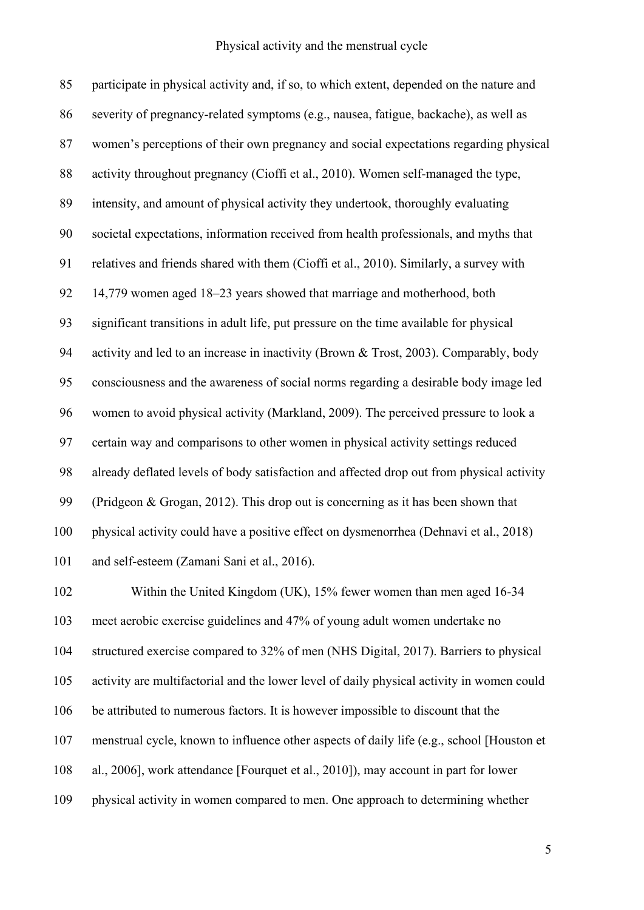participate in physical activity and, if so, to which extent, depended on the nature and severity of pregnancy-related symptoms (e.g., nausea, fatigue, backache), as well as women's perceptions of their own pregnancy and social expectations regarding physical activity throughout pregnancy (Cioffi et al., 2010). Women self-managed the type, intensity, and amount of physical activity they undertook, thoroughly evaluating societal expectations, information received from health professionals, and myths that relatives and friends shared with them (Cioffi et al., 2010). Similarly, a survey with 14,779 women aged 18–23 years showed that marriage and motherhood, both significant transitions in adult life, put pressure on the time available for physical activity and led to an increase in inactivity (Brown & Trost, 2003). Comparably, body consciousness and the awareness of social norms regarding a desirable body image led women to avoid physical activity (Markland, 2009). The perceived pressure to look a certain way and comparisons to other women in physical activity settings reduced already deflated levels of body satisfaction and affected drop out from physical activity (Pridgeon & Grogan, 2012). This drop out is concerning as it has been shown that physical activity could have a positive effect on dysmenorrhea (Dehnavi et al., 2018) and self-esteem (Zamani Sani et al., 2016). Within the United Kingdom (UK), 15% fewer women than men aged 16-34

 meet aerobic exercise guidelines and 47% of young adult women undertake no structured exercise compared to 32% of men (NHS Digital, 2017). Barriers to physical activity are multifactorial and the lower level of daily physical activity in women could be attributed to numerous factors. It is however impossible to discount that the menstrual cycle, known to influence other aspects of daily life (e.g., school [Houston et al., 2006], work attendance [Fourquet et al., 2010]), may account in part for lower physical activity in women compared to men. One approach to determining whether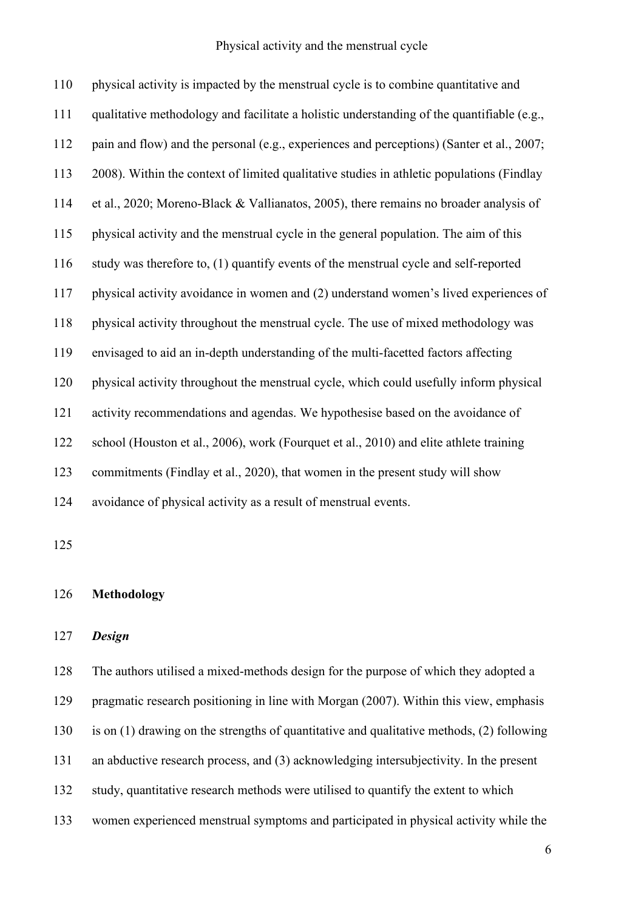physical activity is impacted by the menstrual cycle is to combine quantitative and qualitative methodology and facilitate a holistic understanding of the quantifiable (e.g., pain and flow) and the personal (e.g., experiences and perceptions) (Santer et al., 2007; 2008). Within the context of limited qualitative studies in athletic populations (Findlay et al., 2020; Moreno-Black & Vallianatos, 2005), there remains no broader analysis of physical activity and the menstrual cycle in the general population. The aim of this study was therefore to, (1) quantify events of the menstrual cycle and self-reported physical activity avoidance in women and (2) understand women's lived experiences of physical activity throughout the menstrual cycle. The use of mixed methodology was envisaged to aid an in-depth understanding of the multi-facetted factors affecting physical activity throughout the menstrual cycle, which could usefully inform physical activity recommendations and agendas. We hypothesise based on the avoidance of school (Houston et al., 2006), work (Fourquet et al., 2010) and elite athlete training commitments (Findlay et al., 2020), that women in the present study will show avoidance of physical activity as a result of menstrual events.

## **Methodology**

## *Design*

 The authors utilised a mixed-methods design for the purpose of which they adopted a pragmatic research positioning in line with Morgan (2007). Within this view, emphasis is on (1) drawing on the strengths of quantitative and qualitative methods, (2) following an abductive research process, and (3) acknowledging intersubjectivity. In the present study, quantitative research methods were utilised to quantify the extent to which women experienced menstrual symptoms and participated in physical activity while the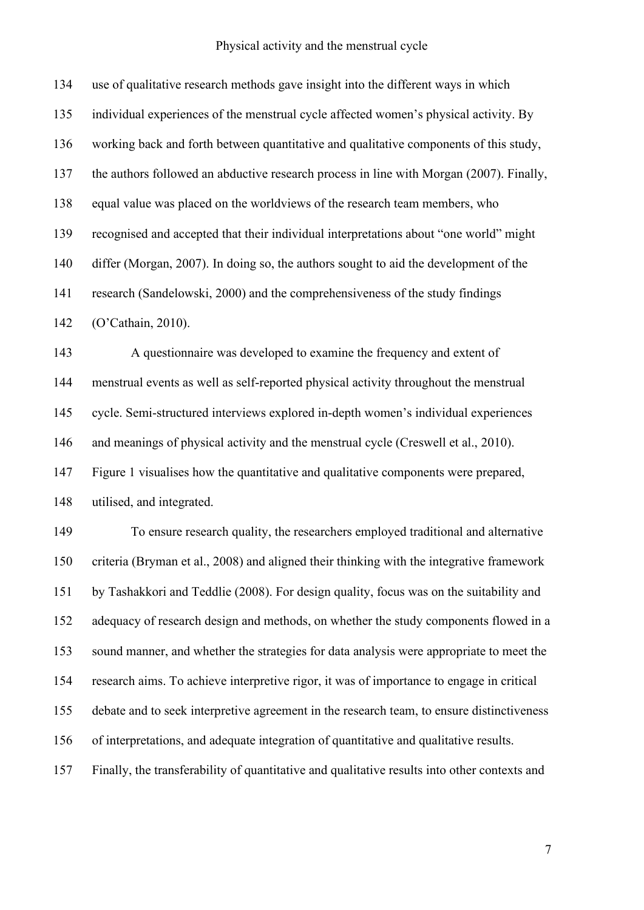use of qualitative research methods gave insight into the different ways in which individual experiences of the menstrual cycle affected women's physical activity. By working back and forth between quantitative and qualitative components of this study, the authors followed an abductive research process in line with Morgan (2007). Finally, equal value was placed on the worldviews of the research team members, who recognised and accepted that their individual interpretations about "one world" might differ (Morgan, 2007). In doing so, the authors sought to aid the development of the research (Sandelowski, 2000) and the comprehensiveness of the study findings (O'Cathain, 2010). A questionnaire was developed to examine the frequency and extent of menstrual events as well as self-reported physical activity throughout the menstrual

cycle. Semi-structured interviews explored in-depth women's individual experiences

and meanings of physical activity and the menstrual cycle (Creswell et al., 2010).

 Figure 1 visualises how the quantitative and qualitative components were prepared, utilised, and integrated.

 To ensure research quality, the researchers employed traditional and alternative criteria (Bryman et al., 2008) and aligned their thinking with the integrative framework by Tashakkori and Teddlie (2008). For design quality, focus was on the suitability and adequacy of research design and methods, on whether the study components flowed in a sound manner, and whether the strategies for data analysis were appropriate to meet the research aims. To achieve interpretive rigor, it was of importance to engage in critical debate and to seek interpretive agreement in the research team, to ensure distinctiveness of interpretations, and adequate integration of quantitative and qualitative results. Finally, the transferability of quantitative and qualitative results into other contexts and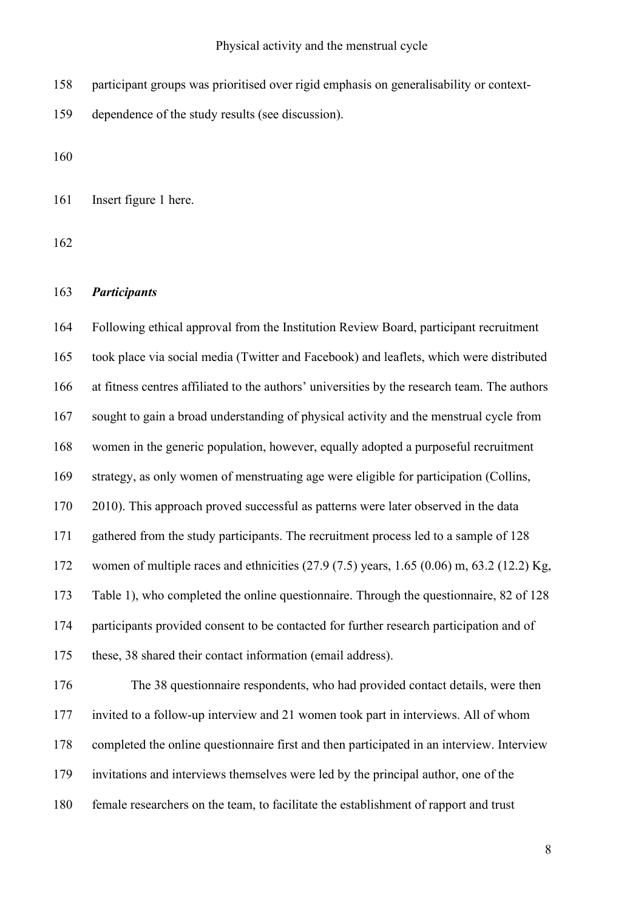- participant groups was prioritised over rigid emphasis on generalisability or context-
- dependence of the study results (see discussion).

Insert figure 1 here.

## *Participants*

 Following ethical approval from the Institution Review Board, participant recruitment took place via social media (Twitter and Facebook) and leaflets, which were distributed at fitness centres affiliated to the authors' universities by the research team. The authors sought to gain a broad understanding of physical activity and the menstrual cycle from women in the generic population, however, equally adopted a purposeful recruitment strategy, as only women of menstruating age were eligible for participation (Collins, 2010). This approach proved successful as patterns were later observed in the data gathered from the study participants. The recruitment process led to a sample of 128 women of multiple races and ethnicities (27.9 (7.5) years, 1.65 (0.06) m, 63.2 (12.2) Kg, Table 1), who completed the online questionnaire. Through the questionnaire, 82 of 128 participants provided consent to be contacted for further research participation and of these, 38 shared their contact information (email address). The 38 questionnaire respondents, who had provided contact details, were then invited to a follow-up interview and 21 women took part in interviews. All of whom completed the online questionnaire first and then participated in an interview. Interview

- invitations and interviews themselves were led by the principal author, one of the
- female researchers on the team, to facilitate the establishment of rapport and trust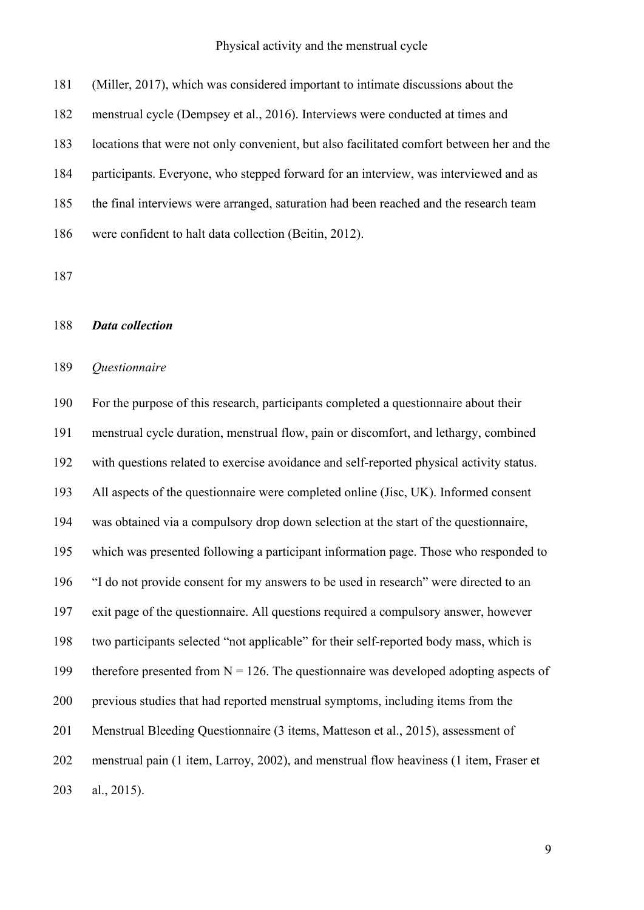(Miller, 2017), which was considered important to intimate discussions about the

menstrual cycle (Dempsey et al., 2016). Interviews were conducted at times and

locations that were not only convenient, but also facilitated comfort between her and the

participants. Everyone, who stepped forward for an interview, was interviewed and as

the final interviews were arranged, saturation had been reached and the research team

were confident to halt data collection (Beitin, 2012).

## *Data collection*

## *Questionnaire*

 For the purpose of this research, participants completed a questionnaire about their menstrual cycle duration, menstrual flow, pain or discomfort, and lethargy, combined with questions related to exercise avoidance and self-reported physical activity status. All aspects of the questionnaire were completed online (Jisc, UK). Informed consent was obtained via a compulsory drop down selection at the start of the questionnaire, which was presented following a participant information page. Those who responded to "I do not provide consent for my answers to be used in research" were directed to an exit page of the questionnaire. All questions required a compulsory answer, however two participants selected "not applicable" for their self-reported body mass, which is 199 therefore presented from  $N = 126$ . The questionnaire was developed adopting aspects of previous studies that had reported menstrual symptoms, including items from the Menstrual Bleeding Questionnaire (3 items, Matteson et al., 2015), assessment of menstrual pain (1 item, Larroy, 2002), and menstrual flow heaviness (1 item, Fraser et al., 2015).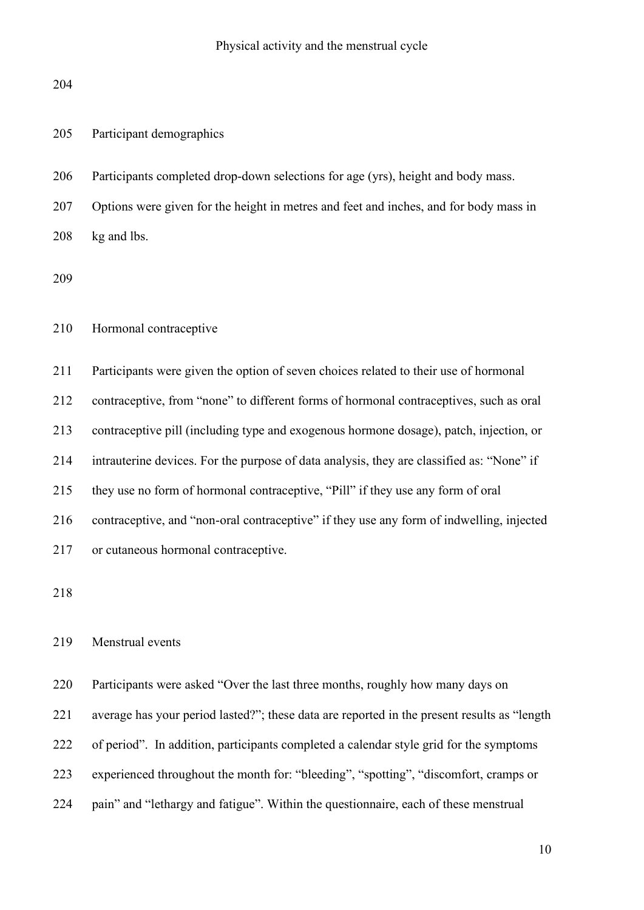| 205 | Participant demographics |
|-----|--------------------------|
|     |                          |

Participants completed drop-down selections for age (yrs), height and body mass.

 Options were given for the height in metres and feet and inches, and for body mass in kg and lbs.

Hormonal contraceptive

 Participants were given the option of seven choices related to their use of hormonal contraceptive, from "none" to different forms of hormonal contraceptives, such as oral contraceptive pill (including type and exogenous hormone dosage), patch, injection, or intrauterine devices. For the purpose of data analysis, they are classified as: "None" if they use no form of hormonal contraceptive, "Pill" if they use any form of oral contraceptive, and "non-oral contraceptive" if they use any form of indwelling, injected or cutaneous hormonal contraceptive.

## Menstrual events

Participants were asked "Over the last three months, roughly how many days on

average has your period lasted?"; these data are reported in the present results as "length

of period". In addition, participants completed a calendar style grid for the symptoms

experienced throughout the month for: "bleeding", "spotting", "discomfort, cramps or

pain" and "lethargy and fatigue". Within the questionnaire, each of these menstrual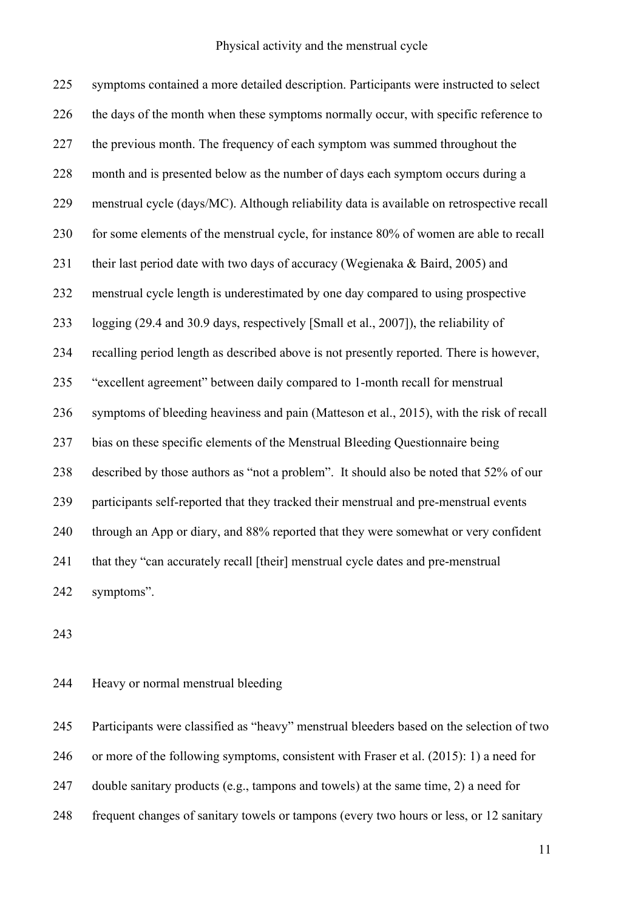symptoms contained a more detailed description. Participants were instructed to select 226 the days of the month when these symptoms normally occur, with specific reference to 227 the previous month. The frequency of each symptom was summed throughout the month and is presented below as the number of days each symptom occurs during a menstrual cycle (days/MC). Although reliability data is available on retrospective recall 230 for some elements of the menstrual cycle, for instance 80% of women are able to recall their last period date with two days of accuracy (Wegienaka & Baird, 2005) and menstrual cycle length is underestimated by one day compared to using prospective logging (29.4 and 30.9 days, respectively [Small et al., 2007]), the reliability of recalling period length as described above is not presently reported. There is however, "excellent agreement" between daily compared to 1-month recall for menstrual symptoms of bleeding heaviness and pain (Matteson et al., 2015), with the risk of recall bias on these specific elements of the Menstrual Bleeding Questionnaire being described by those authors as "not a problem". It should also be noted that 52% of our participants self-reported that they tracked their menstrual and pre-menstrual events through an App or diary, and 88% reported that they were somewhat or very confident 241 that they "can accurately recall [their] menstrual cycle dates and pre-menstrual symptoms".

## Heavy or normal menstrual bleeding

 Participants were classified as "heavy" menstrual bleeders based on the selection of two or more of the following symptoms, consistent with Fraser et al. (2015): 1) a need for double sanitary products (e.g., tampons and towels) at the same time, 2) a need for frequent changes of sanitary towels or tampons (every two hours or less, or 12 sanitary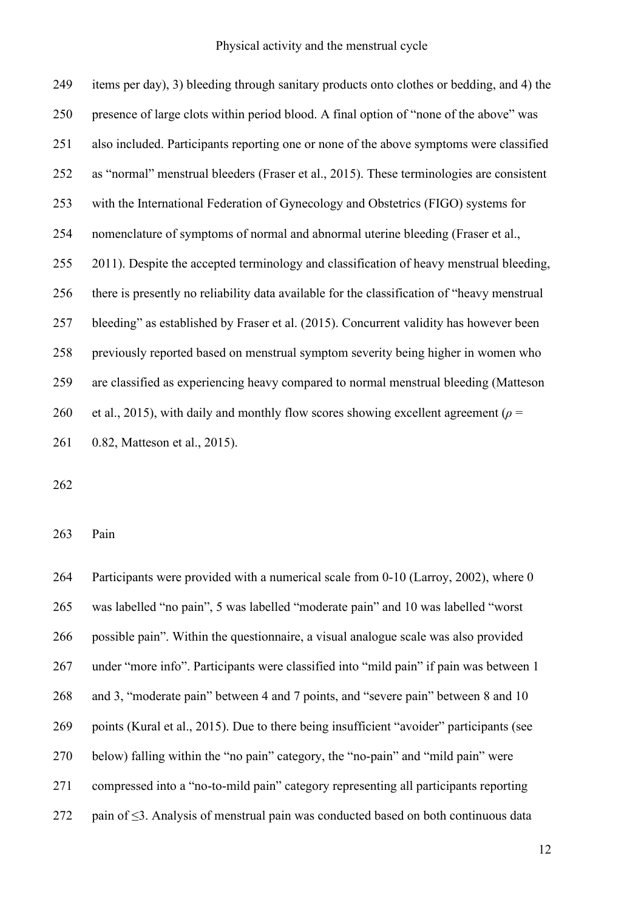| 249 | items per day), 3) bleeding through sanitary products onto clothes or bedding, and 4) the    |
|-----|----------------------------------------------------------------------------------------------|
| 250 | presence of large clots within period blood. A final option of "none of the above" was       |
| 251 | also included. Participants reporting one or none of the above symptoms were classified      |
| 252 | as "normal" menstrual bleeders (Fraser et al., 2015). These terminologies are consistent     |
| 253 | with the International Federation of Gynecology and Obstetrics (FIGO) systems for            |
| 254 | nomenclature of symptoms of normal and abnormal uterine bleeding (Fraser et al.,             |
| 255 | 2011). Despite the accepted terminology and classification of heavy menstrual bleeding,      |
| 256 | there is presently no reliability data available for the classification of "heavy menstrual" |
| 257 | bleeding" as established by Fraser et al. (2015). Concurrent validity has however been       |
| 258 | previously reported based on menstrual symptom severity being higher in women who            |
| 259 | are classified as experiencing heavy compared to normal menstrual bleeding (Matteson         |
| 260 | et al., 2015), with daily and monthly flow scores showing excellent agreement ( $\rho$ =     |
| 261 | 0.82, Matteson et al., 2015).                                                                |

Pain

 Participants were provided with a numerical scale from 0-10 (Larroy, 2002), where 0 was labelled "no pain", 5 was labelled "moderate pain" and 10 was labelled "worst possible pain". Within the questionnaire, a visual analogue scale was also provided under "more info". Participants were classified into "mild pain" if pain was between 1 and 3, "moderate pain" between 4 and 7 points, and "severe pain" between 8 and 10 269 points (Kural et al., 2015). Due to there being insufficient "avoider" participants (see below) falling within the "no pain" category, the "no-pain" and "mild pain" were compressed into a "no-to-mild pain" category representing all participants reporting pain of ≤3. Analysis of menstrual pain was conducted based on both continuous data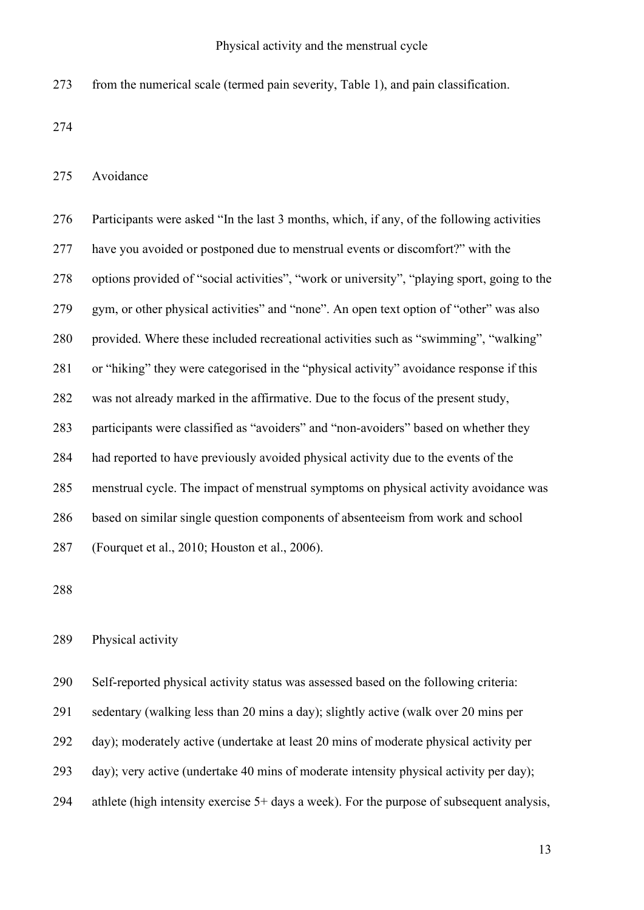from the numerical scale (termed pain severity, Table 1), and pain classification.

Avoidance

| 276 | Participants were asked "In the last 3 months, which, if any, of the following activities   |
|-----|---------------------------------------------------------------------------------------------|
| 277 | have you avoided or postponed due to menstrual events or discomfort?" with the              |
| 278 | options provided of "social activities", "work or university", "playing sport, going to the |
| 279 | gym, or other physical activities" and "none". An open text option of "other" was also      |
| 280 | provided. Where these included recreational activities such as "swimming", "walking"        |
| 281 | or "hiking" they were categorised in the "physical activity" avoidance response if this     |
| 282 | was not already marked in the affirmative. Due to the focus of the present study,           |
| 283 | participants were classified as "avoiders" and "non-avoiders" based on whether they         |
| 284 | had reported to have previously avoided physical activity due to the events of the          |
| 285 | menstrual cycle. The impact of menstrual symptoms on physical activity avoidance was        |
| 286 | based on similar single question components of absenteeism from work and school             |
| 287 | (Fourquet et al., 2010; Houston et al., 2006).                                              |
|     |                                                                                             |

## Physical activity

Self-reported physical activity status was assessed based on the following criteria:

sedentary (walking less than 20 mins a day); slightly active (walk over 20 mins per

- day); moderately active (undertake at least 20 mins of moderate physical activity per
- day); very active (undertake 40 mins of moderate intensity physical activity per day);
- athlete (high intensity exercise 5+ days a week). For the purpose of subsequent analysis,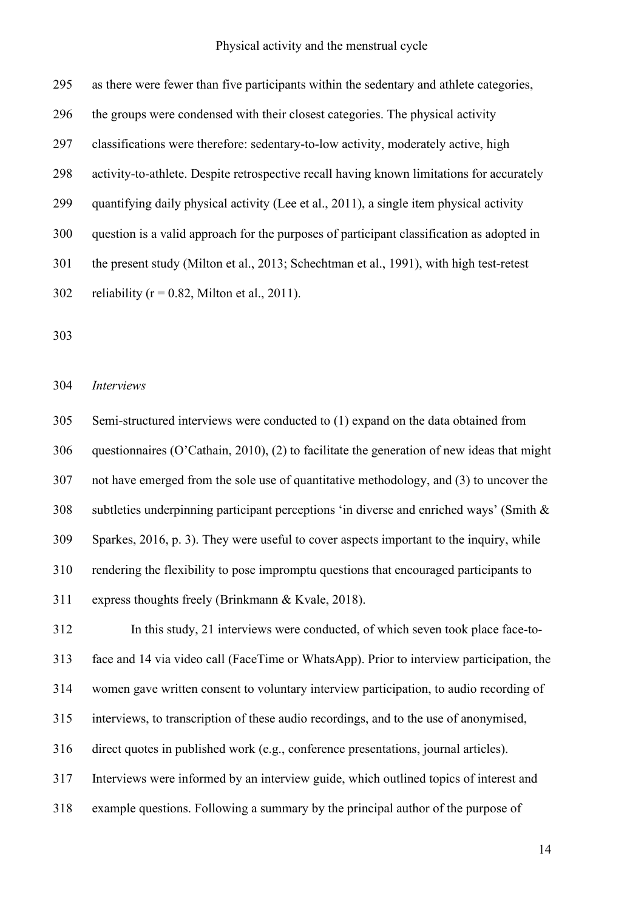| 295 | as there were fewer than five participants within the sedentary and athlete categories,   |
|-----|-------------------------------------------------------------------------------------------|
| 296 | the groups were condensed with their closest categories. The physical activity            |
| 297 | classifications were therefore: sedentary-to-low activity, moderately active, high        |
| 298 | activity-to-athlete. Despite retrospective recall having known limitations for accurately |
| 299 | quantifying daily physical activity (Lee et al., 2011), a single item physical activity   |
| 300 | question is a valid approach for the purposes of participant classification as adopted in |
| 301 | the present study (Milton et al., 2013; Schechtman et al., 1991), with high test-retest   |
| 302 | reliability ( $r = 0.82$ , Milton et al., 2011).                                          |
|     |                                                                                           |

#### *Interviews*

 Semi-structured interviews were conducted to (1) expand on the data obtained from questionnaires (O'Cathain, 2010), (2) to facilitate the generation of new ideas that might not have emerged from the sole use of quantitative methodology, and (3) to uncover the subtleties underpinning participant perceptions 'in diverse and enriched ways' (Smith & Sparkes, 2016, p. 3). They were useful to cover aspects important to the inquiry, while rendering the flexibility to pose impromptu questions that encouraged participants to express thoughts freely (Brinkmann & Kvale, 2018).

 In this study, 21 interviews were conducted, of which seven took place face-to- face and 14 via video call (FaceTime or WhatsApp). Prior to interview participation, the women gave written consent to voluntary interview participation, to audio recording of interviews, to transcription of these audio recordings, and to the use of anonymised, direct quotes in published work (e.g., conference presentations, journal articles). Interviews were informed by an interview guide, which outlined topics of interest and example questions. Following a summary by the principal author of the purpose of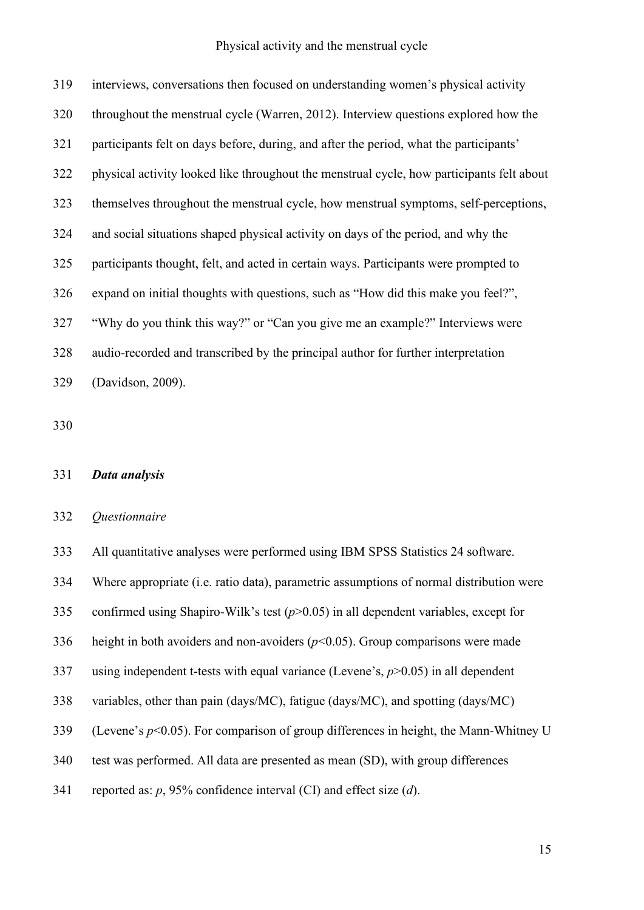interviews, conversations then focused on understanding women's physical activity throughout the menstrual cycle (Warren, 2012). Interview questions explored how the participants felt on days before, during, and after the period, what the participants' physical activity looked like throughout the menstrual cycle, how participants felt about themselves throughout the menstrual cycle, how menstrual symptoms, self-perceptions, and social situations shaped physical activity on days of the period, and why the participants thought, felt, and acted in certain ways. Participants were prompted to expand on initial thoughts with questions, such as "How did this make you feel?", "Why do you think this way?" or "Can you give me an example?" Interviews were audio-recorded and transcribed by the principal author for further interpretation (Davidson, 2009).

## *Data analysis*

## *Questionnaire*

All quantitative analyses were performed using IBM SPSS Statistics 24 software.

Where appropriate (i.e. ratio data), parametric assumptions of normal distribution were

confirmed using Shapiro-Wilk's test (*p*>0.05) in all dependent variables, except for

336 height in both avoiders and non-avoiders  $(p<0.05)$ . Group comparisons were made

using independent t-tests with equal variance (Levene's, *p*>0.05) in all dependent

- variables, other than pain (days/MC), fatigue (days/MC), and spotting (days/MC)
- (Levene's *p*<0.05). For comparison of group differences in height, the Mann-Whitney U
- test was performed. All data are presented as mean (SD), with group differences
- reported as: *p*, 95% confidence interval (CI) and effect size (*d*).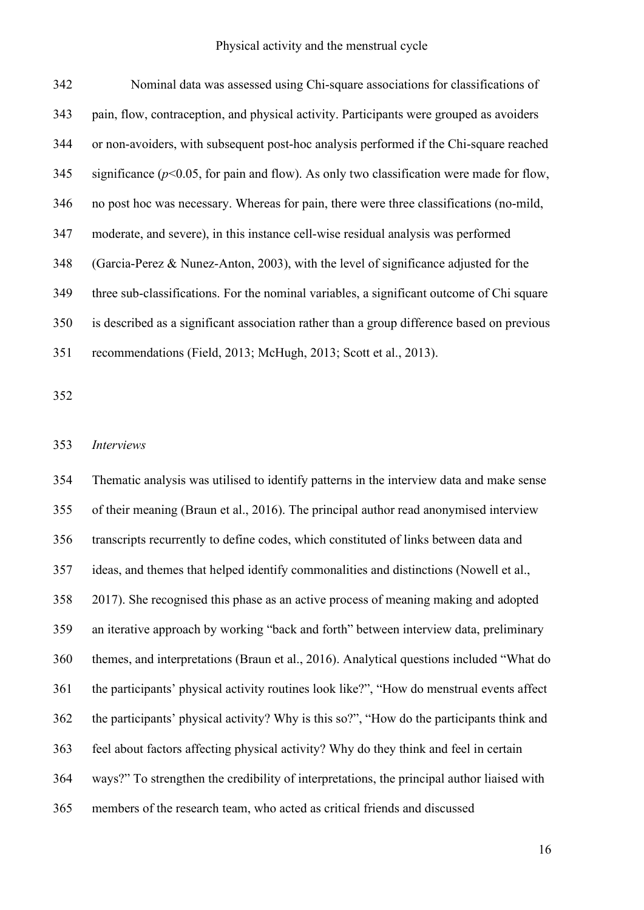| 342 | Nominal data was assessed using Chi-square associations for classifications of               |
|-----|----------------------------------------------------------------------------------------------|
| 343 | pain, flow, contraception, and physical activity. Participants were grouped as avoiders      |
| 344 | or non-avoiders, with subsequent post-hoc analysis performed if the Chi-square reached       |
| 345 | significance ( $p<0.05$ , for pain and flow). As only two classification were made for flow, |
| 346 | no post hoc was necessary. Whereas for pain, there were three classifications (no-mild,      |
| 347 | moderate, and severe), in this instance cell-wise residual analysis was performed            |
| 348 | (Garcia-Perez & Nunez-Anton, 2003), with the level of significance adjusted for the          |
| 349 | three sub-classifications. For the nominal variables, a significant outcome of Chi square    |
| 350 | is described as a significant association rather than a group difference based on previous   |
| 351 | recommendations (Field, 2013; McHugh, 2013; Scott et al., 2013).                             |
|     |                                                                                              |

## *Interviews*

 Thematic analysis was utilised to identify patterns in the interview data and make sense of their meaning (Braun et al., 2016). The principal author read anonymised interview transcripts recurrently to define codes, which constituted of links between data and ideas, and themes that helped identify commonalities and distinctions (Nowell et al., 2017). She recognised this phase as an active process of meaning making and adopted an iterative approach by working "back and forth" between interview data, preliminary themes, and interpretations (Braun et al., 2016). Analytical questions included "What do the participants' physical activity routines look like?", "How do menstrual events affect the participants' physical activity? Why is this so?", "How do the participants think and feel about factors affecting physical activity? Why do they think and feel in certain ways?" To strengthen the credibility of interpretations, the principal author liaised with members of the research team, who acted as critical friends and discussed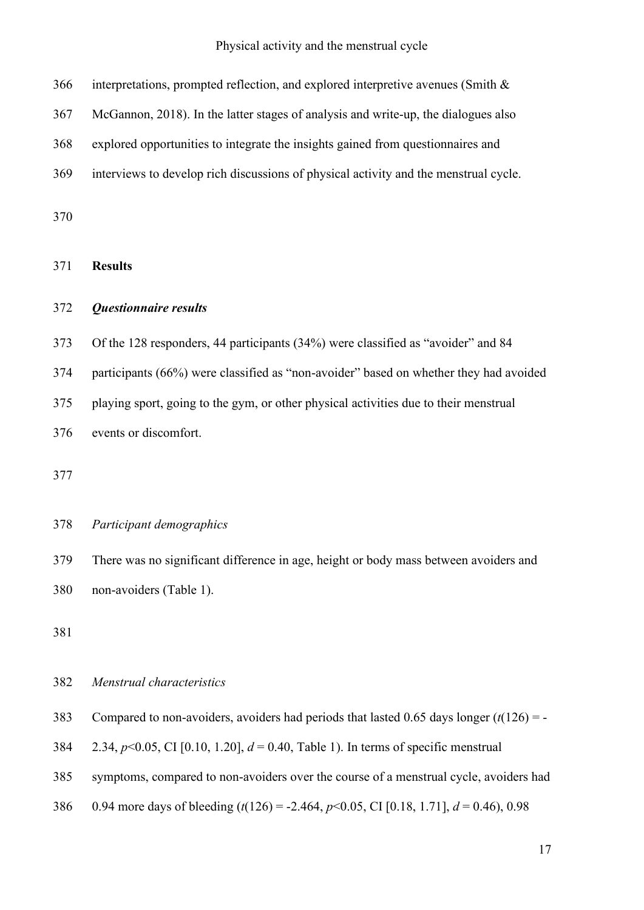| 366 | interpretations, prompted reflection, and explored interpretive avenues (Smith &          |
|-----|-------------------------------------------------------------------------------------------|
| 367 | McGannon, 2018). In the latter stages of analysis and write-up, the dialogues also        |
| 368 | explored opportunities to integrate the insights gained from questionnaires and           |
| 369 | interviews to develop rich discussions of physical activity and the menstrual cycle.      |
| 370 |                                                                                           |
| 371 | <b>Results</b>                                                                            |
| 372 | <b>Questionnaire results</b>                                                              |
| 373 | Of the 128 responders, 44 participants (34%) were classified as "avoider" and 84          |
| 374 | participants (66%) were classified as "non-avoider" based on whether they had avoided     |
| 375 | playing sport, going to the gym, or other physical activities due to their menstrual      |
| 376 | events or discomfort.                                                                     |
| 377 |                                                                                           |
| 378 | Participant demographics                                                                  |
| 379 | There was no significant difference in age, height or body mass between avoiders and      |
| 380 | non-avoiders (Table 1).                                                                   |
| 381 |                                                                                           |
| 382 | Menstrual characteristics                                                                 |
| 383 | Compared to non-avoiders, avoiders had periods that lasted 0.65 days longer $(t(126) = -$ |

- 2.34, *p*<0.05, CI [0.10, 1.20], *d* = 0.40, Table 1). In terms of specific menstrual
- symptoms, compared to non-avoiders over the course of a menstrual cycle, avoiders had
- 0.94 more days of bleeding (*t*(126) = -2.464, *p*<0.05, CI [0.18, 1.71], *d* = 0.46), 0.98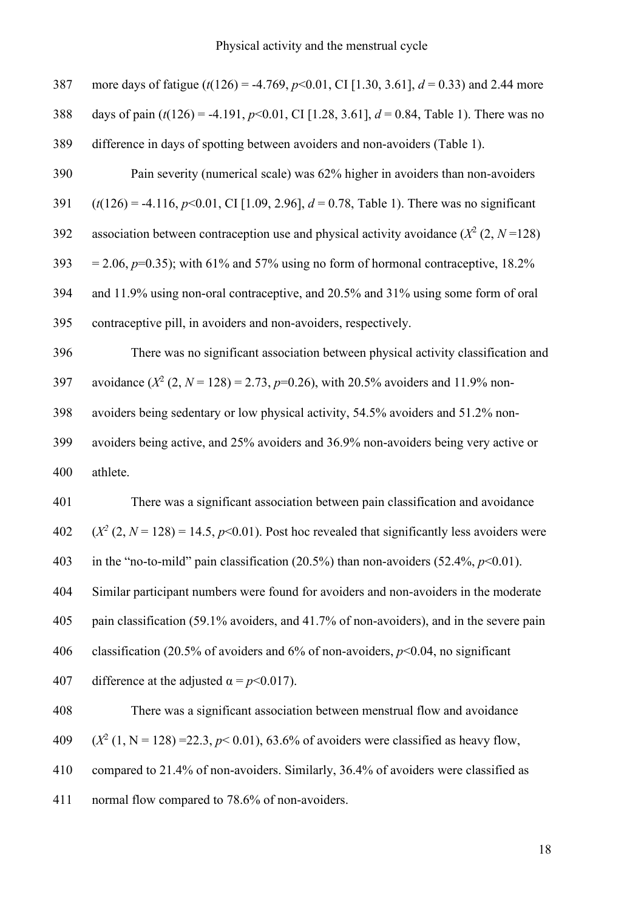| 387 | more days of fatigue $(t(126) = -4.769, p<0.01, CI$ [1.30, 3.61], $d = 0.33$ ) and 2.44 more  |
|-----|-----------------------------------------------------------------------------------------------|
| 388 | days of pain $(t(126) = -4.191, p<0.01, CI$ [1.28, 3.61], $d = 0.84$ , Table 1). There was no |
| 389 | difference in days of spotting between avoiders and non-avoiders (Table 1).                   |
| 390 | Pain severity (numerical scale) was 62% higher in avoiders than non-avoiders                  |
| 391 | $(t(126) = -4.116, p<0.01, C1$ [1.09, 2.96], $d = 0.78$ , Table 1). There was no significant  |
| 392 | association between contraception use and physical activity avoidance $(X^2 (2, N=128))$      |
| 393 | = 2.06, $p=0.35$ ); with 61% and 57% using no form of hormonal contraceptive, 18.2%           |
| 394 | and 11.9% using non-oral contraceptive, and 20.5% and 31% using some form of oral             |
| 395 | contraceptive pill, in avoiders and non-avoiders, respectively.                               |
| 396 | There was no significant association between physical activity classification and             |
| 397 | avoidance $(X^2 (2, N = 128) = 2.73, p=0.26)$ , with 20.5% avoiders and 11.9% non-            |
| 398 | avoiders being sedentary or low physical activity, 54.5% avoiders and 51.2% non-              |
| 399 | avoiders being active, and 25% avoiders and 36.9% non-avoiders being very active or           |
| 400 | athlete.                                                                                      |
| 401 | There was a significant association between pain classification and avoidance                 |
| 402 | $(X^2 (2, N = 128) = 14.5, p<0.01)$ . Post hoc revealed that significantly less avoiders were |
| 403 | in the "no-to-mild" pain classification (20.5%) than non-avoiders (52.4%, $p<0.01$ ).         |
| 404 | Similar participant numbers were found for avoiders and non-avoiders in the moderate          |
| 405 | pain classification (59.1% avoiders, and 41.7% of non-avoiders), and in the severe pain       |
| 406 | classification (20.5% of avoiders and 6% of non-avoiders, $p<0.04$ , no significant           |
| 407 | difference at the adjusted $\alpha = p<0.017$ ).                                              |
| 408 | There was a significant association between menstrual flow and avoidance                      |
| 409 | $(X^2 (1, N = 128) = 22.3, p < 0.01)$ , 63.6% of avoiders were classified as heavy flow,      |

compared to 21.4% of non-avoiders. Similarly, 36.4% of avoiders were classified as

normal flow compared to 78.6% of non-avoiders.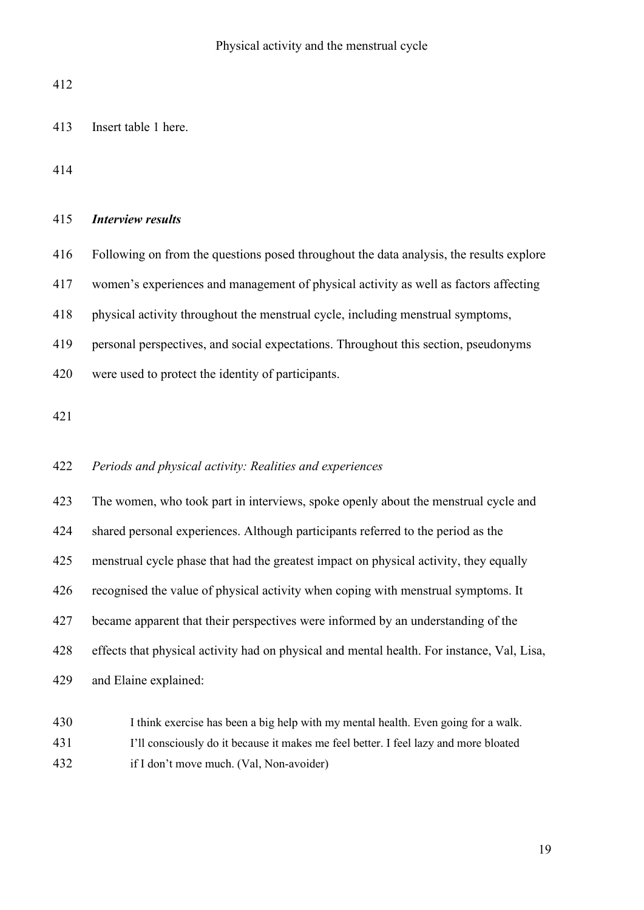Insert table 1 here.

## *Interview results*

Following on from the questions posed throughout the data analysis, the results explore

women's experiences and management of physical activity as well as factors affecting

physical activity throughout the menstrual cycle, including menstrual symptoms,

personal perspectives, and social expectations. Throughout this section, pseudonyms

were used to protect the identity of participants.

## *Periods and physical activity: Realities and experiences*

 The women, who took part in interviews, spoke openly about the menstrual cycle and shared personal experiences. Although participants referred to the period as the menstrual cycle phase that had the greatest impact on physical activity, they equally recognised the value of physical activity when coping with menstrual symptoms. It became apparent that their perspectives were informed by an understanding of the effects that physical activity had on physical and mental health. For instance, Val, Lisa, and Elaine explained:

430 I think exercise has been a big help with my mental health. Even going for a walk. I'll consciously do it because it makes me feel better. I feel lazy and more bloated if I don't move much. (Val, Non-avoider)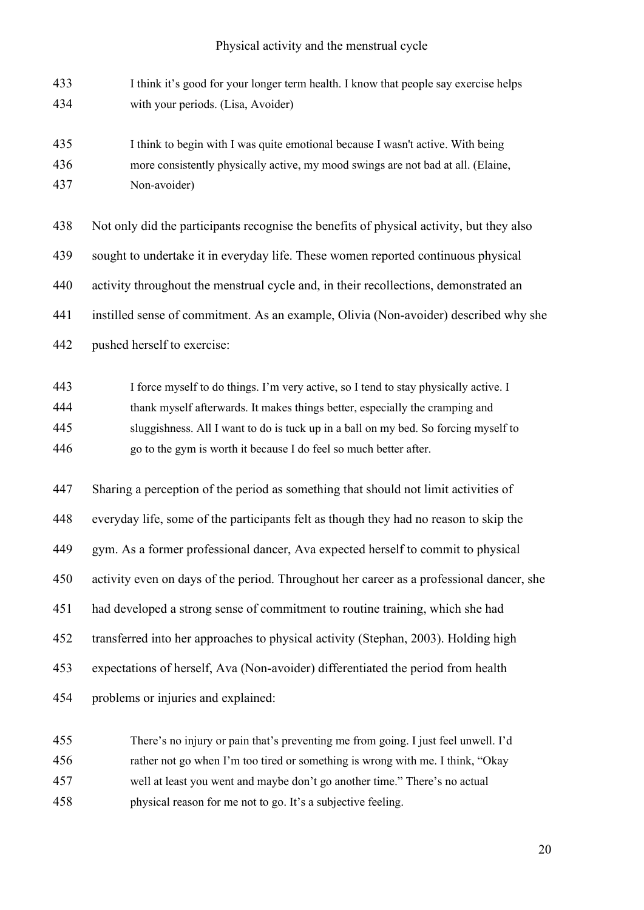| 433 | I think it's good for your longer term health. I know that people say exercise helps |
|-----|--------------------------------------------------------------------------------------|
| 434 | with your periods. (Lisa, Avoider)                                                   |

 I think to begin with I was quite emotional because I wasn't active. With being more consistently physically active, my mood swings are not bad at all. (Elaine, Non-avoider)

| 438 | Not only did the participants recognise the benefits of physical activity, but they also |
|-----|------------------------------------------------------------------------------------------|
| 439 | sought to undertake it in everyday life. These women reported continuous physical        |
| 440 | activity throughout the menstrual cycle and, in their recollections, demonstrated an     |
| 441 | instilled sense of commitment. As an example, Olivia (Non-avoider) described why she     |
| 442 | pushed herself to exercise:                                                              |

 I force myself to do things. I'm very active, so I tend to stay physically active. I thank myself afterwards. It makes things better, especially the cramping and sluggishness. All I want to do is tuck up in a ball on my bed. So forcing myself to go to the gym is worth it because I do feel so much better after.

 Sharing a perception of the period as something that should not limit activities of everyday life, some of the participants felt as though they had no reason to skip the gym. As a former professional dancer, Ava expected herself to commit to physical activity even on days of the period. Throughout her career as a professional dancer, she had developed a strong sense of commitment to routine training, which she had transferred into her approaches to physical activity (Stephan, 2003). Holding high expectations of herself, Ava (Non-avoider) differentiated the period from health problems or injuries and explained:

 There's no injury or pain that's preventing me from going. I just feel unwell. I'd rather not go when I'm too tired or something is wrong with me. I think, "Okay well at least you went and maybe don't go another time." There's no actual physical reason for me not to go. It's a subjective feeling.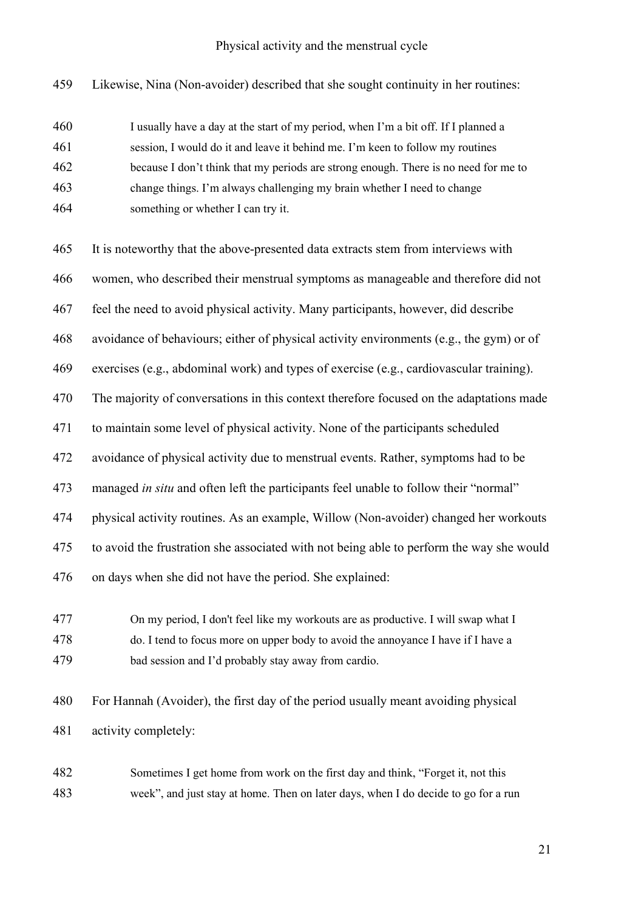Likewise, Nina (Non-avoider) described that she sought continuity in her routines:

 I usually have a day at the start of my period, when I'm a bit off. If I planned a session, I would do it and leave it behind me. I'm keen to follow my routines because I don't think that my periods are strong enough. There is no need for me to change things. I'm always challenging my brain whether I need to change something or whether I can try it.

 It is noteworthy that the above-presented data extracts stem from interviews with women, who described their menstrual symptoms as manageable and therefore did not feel the need to avoid physical activity. Many participants, however, did describe avoidance of behaviours; either of physical activity environments (e.g., the gym) or of exercises (e.g., abdominal work) and types of exercise (e.g., cardiovascular training). The majority of conversations in this context therefore focused on the adaptations made to maintain some level of physical activity. None of the participants scheduled avoidance of physical activity due to menstrual events. Rather, symptoms had to be managed *in situ* and often left the participants feel unable to follow their "normal" physical activity routines. As an example, Willow (Non-avoider) changed her workouts to avoid the frustration she associated with not being able to perform the way she would on days when she did not have the period. She explained:

 On my period, I don't feel like my workouts are as productive. I will swap what I do. I tend to focus more on upper body to avoid the annoyance I have if I have a bad session and I'd probably stay away from cardio.

 For Hannah (Avoider), the first day of the period usually meant avoiding physical activity completely:

 Sometimes I get home from work on the first day and think, "Forget it, not this week", and just stay at home. Then on later days, when I do decide to go for a run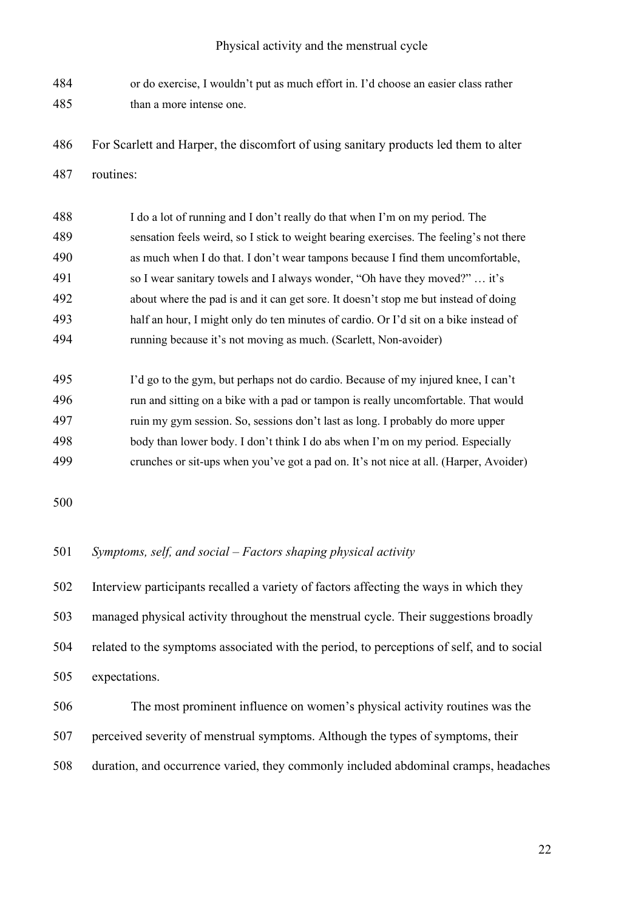- or do exercise, I wouldn't put as much effort in. I'd choose an easier class rather than a more intense one.
- For Scarlett and Harper, the discomfort of using sanitary products led them to alter
- routines:

| 488 | I do a lot of running and I don't really do that when I'm on my period. The            |
|-----|----------------------------------------------------------------------------------------|
| 489 | sensation feels weird, so I stick to weight bearing exercises. The feeling's not there |
| 490 | as much when I do that. I don't wear tampons because I find them uncomfortable,        |
| 491 | so I wear sanitary towels and I always wonder, "Oh have they moved?"  it's             |
| 492 | about where the pad is and it can get sore. It doesn't stop me but instead of doing    |
| 493 | half an hour, I might only do ten minutes of cardio. Or I'd sit on a bike instead of   |
| 494 | running because it's not moving as much. (Scarlett, Non-avoider)                       |

 I'd go to the gym, but perhaps not do cardio. Because of my injured knee, I can't run and sitting on a bike with a pad or tampon is really uncomfortable. That would ruin my gym session. So, sessions don't last as long. I probably do more upper body than lower body. I don't think I do abs when I'm on my period. Especially crunches or sit-ups when you've got a pad on. It's not nice at all. (Harper, Avoider)

## *Symptoms, self, and social – Factors shaping physical activity*

 Interview participants recalled a variety of factors affecting the ways in which they managed physical activity throughout the menstrual cycle. Their suggestions broadly related to the symptoms associated with the period, to perceptions of self, and to social expectations.

# The most prominent influence on women's physical activity routines was the perceived severity of menstrual symptoms. Although the types of symptoms, their duration, and occurrence varied, they commonly included abdominal cramps, headaches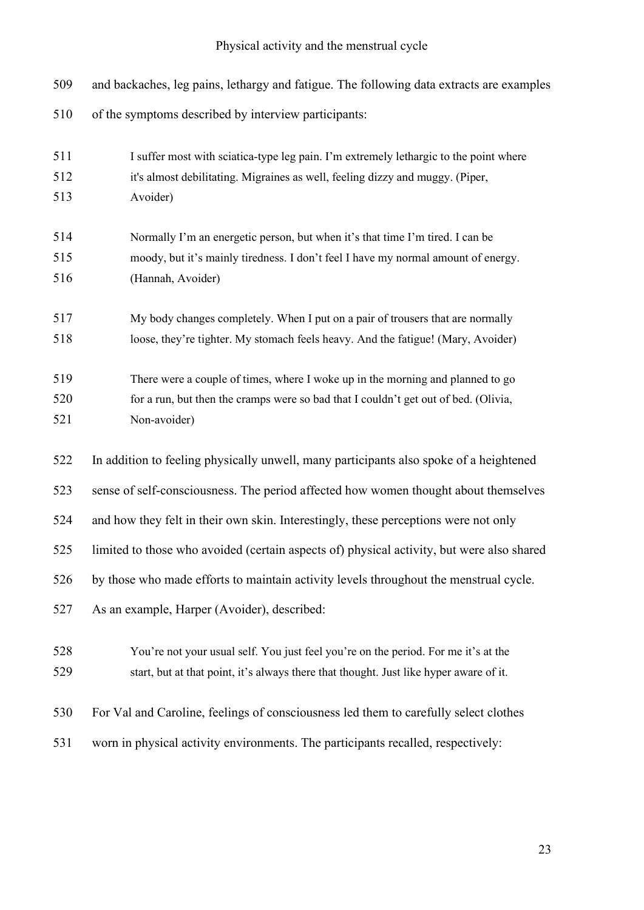| 509 | and backaches, leg pains, lethargy and fatigue. The following data extracts are examples  |
|-----|-------------------------------------------------------------------------------------------|
| 510 | of the symptoms described by interview participants:                                      |
| 511 | I suffer most with sciatica-type leg pain. I'm extremely lethargic to the point where     |
| 512 | it's almost debilitating. Migraines as well, feeling dizzy and muggy. (Piper,             |
| 513 | Avoider)                                                                                  |
| 514 | Normally I'm an energetic person, but when it's that time I'm tired. I can be             |
| 515 | moody, but it's mainly tiredness. I don't feel I have my normal amount of energy.         |
| 516 | (Hannah, Avoider)                                                                         |
| 517 | My body changes completely. When I put on a pair of trousers that are normally            |
| 518 | loose, they're tighter. My stomach feels heavy. And the fatigue! (Mary, Avoider)          |
| 519 | There were a couple of times, where I woke up in the morning and planned to go            |
| 520 | for a run, but then the cramps were so bad that I couldn't get out of bed. (Olivia,       |
| 521 | Non-avoider)                                                                              |
| 522 | In addition to feeling physically unwell, many participants also spoke of a heightened    |
| 523 | sense of self-consciousness. The period affected how women thought about themselves       |
| 524 | and how they felt in their own skin. Interestingly, these perceptions were not only       |
| 525 | limited to those who avoided (certain aspects of) physical activity, but were also shared |
| 526 | by those who made efforts to maintain activity levels throughout the menstrual cycle.     |
| 527 | As an example, Harper (Avoider), described:                                               |
| 528 | You're not your usual self. You just feel you're on the period. For me it's at the        |
| 529 | start, but at that point, it's always there that thought. Just like hyper aware of it.    |
| 530 | For Val and Caroline, feelings of consciousness led them to carefully select clothes      |
| 531 | worn in physical activity environments. The participants recalled, respectively:          |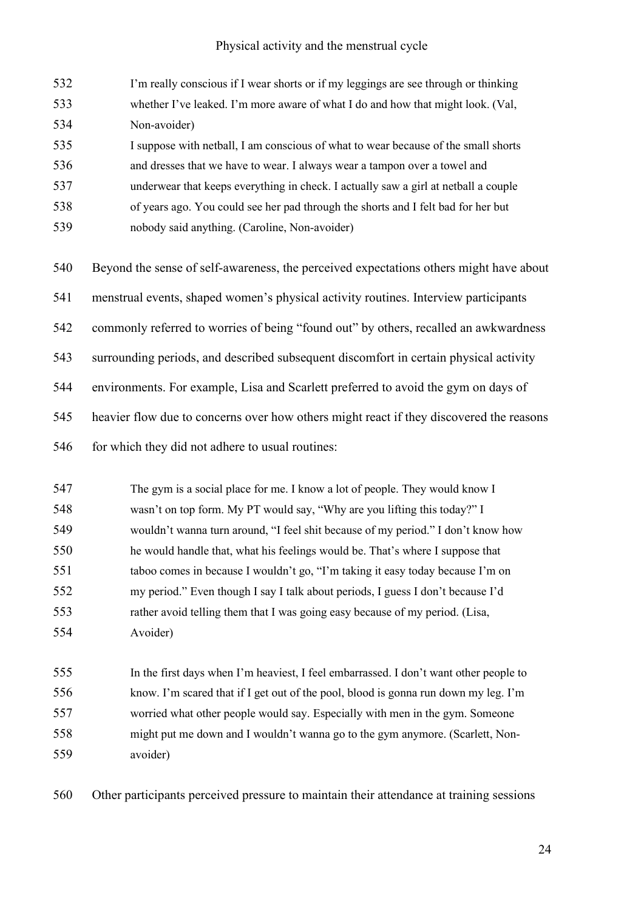| 532 | I'm really conscious if I wear shorts or if my leggings are see through or thinking     |
|-----|-----------------------------------------------------------------------------------------|
| 533 | whether I've leaked. I'm more aware of what I do and how that might look. (Val,         |
| 534 | Non-avoider)                                                                            |
| 535 | I suppose with netball, I am conscious of what to wear because of the small shorts      |
| 536 | and dresses that we have to wear. I always wear a tampon over a towel and               |
| 537 | underwear that keeps everything in check. I actually saw a girl at netball a couple     |
| 538 | of years ago. You could see her pad through the shorts and I felt bad for her but       |
| 539 | nobody said anything. (Caroline, Non-avoider)                                           |
| 540 | Beyond the sense of self-awareness, the perceived expectations others might have about  |
| 541 | menstrual events, shaped women's physical activity routines. Interview participants     |
| 542 | commonly referred to worries of being "found out" by others, recalled an awkwardness    |
| 543 | surrounding periods, and described subsequent discomfort in certain physical activity   |
| 544 | environments. For example, Lisa and Scarlett preferred to avoid the gym on days of      |
| 545 | heavier flow due to concerns over how others might react if they discovered the reasons |
| 546 | for which they did not adhere to usual routines:                                        |
| 547 | The gym is a social place for me. I know a lot of people. They would know I             |
| 548 | wasn't on top form. My PT would say, "Why are you lifting this today?" I                |
| 549 | wouldn't wanna turn around, "I feel shit because of my period." I don't know how        |
| 550 | he would handle that, what his feelings would be. That's where I suppose that           |
| 551 | taboo comes in because I wouldn't go, "I'm taking it easy today because I'm on          |
| 552 | my period." Even though I say I talk about periods, I guess I don't because I'd         |
| 553 | rather avoid telling them that I was going easy because of my period. (Lisa,            |
| 554 | Avoider)                                                                                |
| 555 | In the first days when I'm heaviest, I feel embarrassed. I don't want other people to   |
| 556 | know. I'm scared that if I get out of the pool, blood is gonna run down my leg. I'm     |
| 557 | worried what other people would say. Especially with men in the gym. Someone            |
| 558 | might put me down and I wouldn't wanna go to the gym anymore. (Scarlett, Non-           |
| 559 | avoider)                                                                                |

Other participants perceived pressure to maintain their attendance at training sessions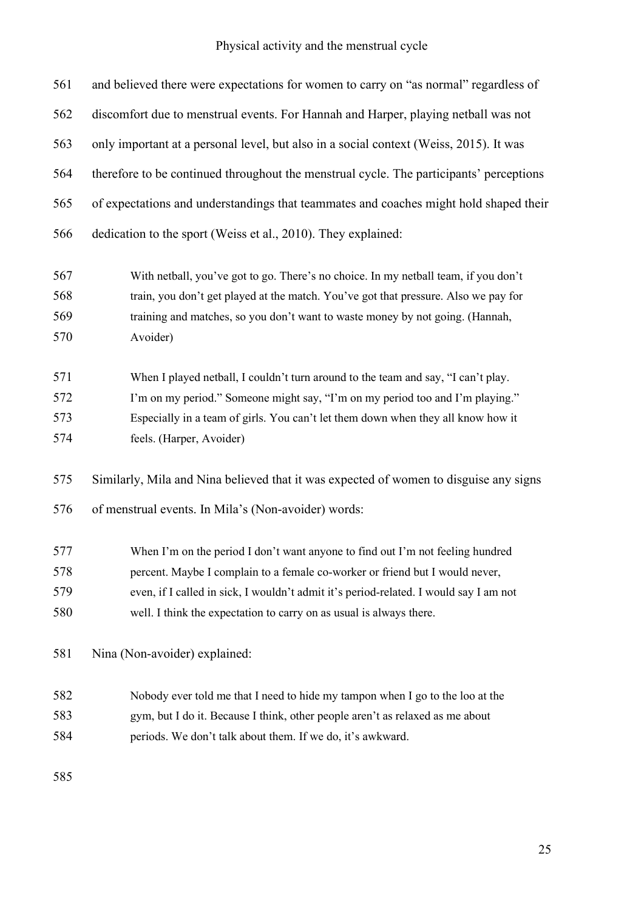| 561 | and believed there were expectations for women to carry on "as normal" regardless of    |
|-----|-----------------------------------------------------------------------------------------|
| 562 | discomfort due to menstrual events. For Hannah and Harper, playing netball was not      |
| 563 | only important at a personal level, but also in a social context (Weiss, 2015). It was  |
| 564 | therefore to be continued throughout the menstrual cycle. The participants' perceptions |
| 565 | of expectations and understandings that teammates and coaches might hold shaped their   |
| 566 | dedication to the sport (Weiss et al., 2010). They explained:                           |
| 567 | With netball, you've got to go. There's no choice. In my netball team, if you don't     |
| 568 | train, you don't get played at the match. You've got that pressure. Also we pay for     |
| 569 | training and matches, so you don't want to waste money by not going. (Hannah,           |
| 570 | Avoider)                                                                                |
| 571 | When I played netball, I couldn't turn around to the team and say, "I can't play.       |
| 572 | I'm on my period." Someone might say, "I'm on my period too and I'm playing."           |
| 573 | Especially in a team of girls. You can't let them down when they all know how it        |
| 574 | feels. (Harper, Avoider)                                                                |
| 575 | Similarly, Mila and Nina believed that it was expected of women to disguise any signs   |
| 576 | of menstrual events. In Mila's (Non-avoider) words:                                     |
| 577 | When I'm on the period I don't want anyone to find out I'm not feeling hundred          |
| 578 | percent. Maybe I complain to a female co-worker or friend but I would never,            |
| 579 | even, if I called in sick, I wouldn't admit it's period-related. I would say I am not   |
| 580 | well. I think the expectation to carry on as usual is always there.                     |
| 581 | Nina (Non-avoider) explained:                                                           |
| 582 | Nobody ever told me that I need to hide my tampon when I go to the loo at the           |
| 583 | gym, but I do it. Because I think, other people aren't as relaxed as me about           |
| 584 | periods. We don't talk about them. If we do, it's awkward.                              |
| 585 |                                                                                         |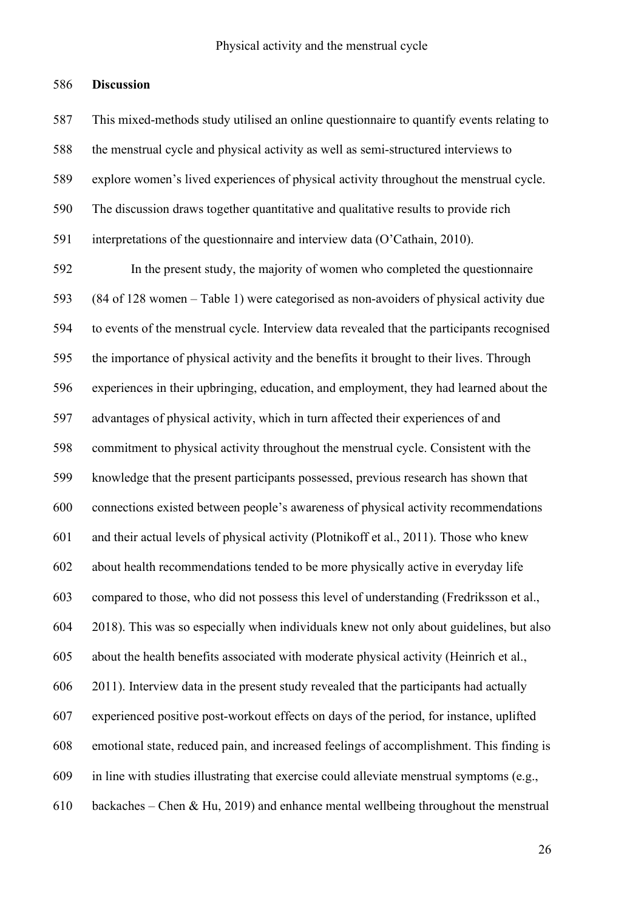### **Discussion**

 This mixed-methods study utilised an online questionnaire to quantify events relating to the menstrual cycle and physical activity as well as semi-structured interviews to explore women's lived experiences of physical activity throughout the menstrual cycle. The discussion draws together quantitative and qualitative results to provide rich interpretations of the questionnaire and interview data (O'Cathain, 2010).

 In the present study, the majority of women who completed the questionnaire (84 of 128 women – Table 1) were categorised as non-avoiders of physical activity due to events of the menstrual cycle. Interview data revealed that the participants recognised the importance of physical activity and the benefits it brought to their lives. Through experiences in their upbringing, education, and employment, they had learned about the advantages of physical activity, which in turn affected their experiences of and commitment to physical activity throughout the menstrual cycle. Consistent with the knowledge that the present participants possessed, previous research has shown that connections existed between people's awareness of physical activity recommendations and their actual levels of physical activity (Plotnikoff et al., 2011). Those who knew about health recommendations tended to be more physically active in everyday life compared to those, who did not possess this level of understanding (Fredriksson et al., 2018). This was so especially when individuals knew not only about guidelines, but also about the health benefits associated with moderate physical activity (Heinrich et al., 2011). Interview data in the present study revealed that the participants had actually experienced positive post-workout effects on days of the period, for instance, uplifted emotional state, reduced pain, and increased feelings of accomplishment. This finding is in line with studies illustrating that exercise could alleviate menstrual symptoms (e.g., backaches – Chen & Hu, 2019) and enhance mental wellbeing throughout the menstrual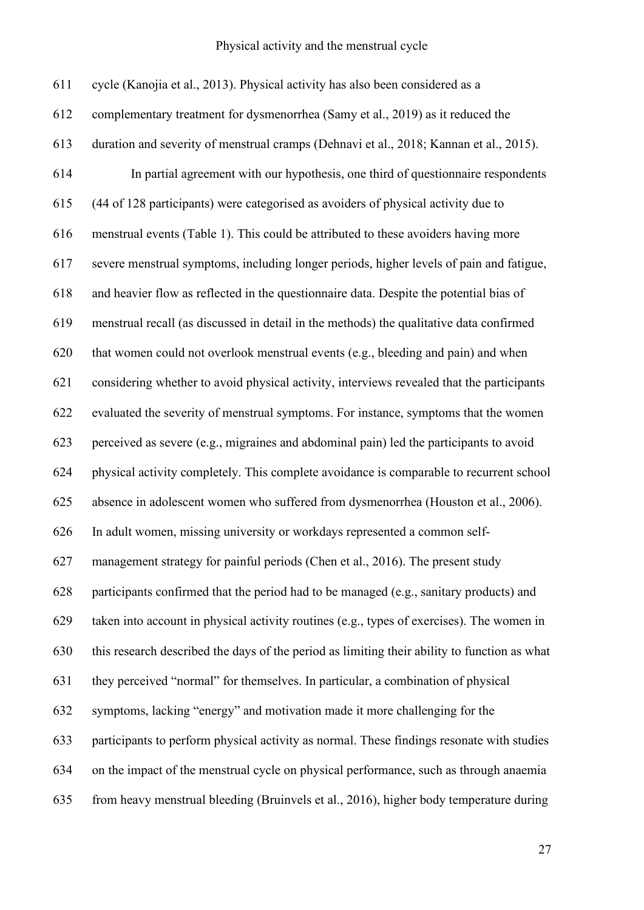| 611 | cycle (Kanojia et al., 2013). Physical activity has also been considered as a                |
|-----|----------------------------------------------------------------------------------------------|
| 612 | complementary treatment for dysmenorrhea (Samy et al., 2019) as it reduced the               |
| 613 | duration and severity of menstrual cramps (Dehnavi et al., 2018; Kannan et al., 2015).       |
| 614 | In partial agreement with our hypothesis, one third of questionnaire respondents             |
| 615 | (44 of 128 participants) were categorised as avoiders of physical activity due to            |
| 616 | menstrual events (Table 1). This could be attributed to these avoiders having more           |
| 617 | severe menstrual symptoms, including longer periods, higher levels of pain and fatigue,      |
| 618 | and heavier flow as reflected in the questionnaire data. Despite the potential bias of       |
| 619 | menstrual recall (as discussed in detail in the methods) the qualitative data confirmed      |
| 620 | that women could not overlook menstrual events (e.g., bleeding and pain) and when            |
| 621 | considering whether to avoid physical activity, interviews revealed that the participants    |
| 622 | evaluated the severity of menstrual symptoms. For instance, symptoms that the women          |
| 623 | perceived as severe (e.g., migraines and abdominal pain) led the participants to avoid       |
| 624 | physical activity completely. This complete avoidance is comparable to recurrent school      |
| 625 | absence in adolescent women who suffered from dysmenorrhea (Houston et al., 2006).           |
| 626 | In adult women, missing university or workdays represented a common self-                    |
| 627 | management strategy for painful periods (Chen et al., 2016). The present study               |
| 628 | participants confirmed that the period had to be managed (e.g., sanitary products) and       |
| 629 | taken into account in physical activity routines (e.g., types of exercises). The women in    |
| 630 | this research described the days of the period as limiting their ability to function as what |
| 631 | they perceived "normal" for themselves. In particular, a combination of physical             |
| 632 | symptoms, lacking "energy" and motivation made it more challenging for the                   |
| 633 | participants to perform physical activity as normal. These findings resonate with studies    |
| 634 | on the impact of the menstrual cycle on physical performance, such as through anaemia        |
| 635 | from heavy menstrual bleeding (Bruinvels et al., 2016), higher body temperature during       |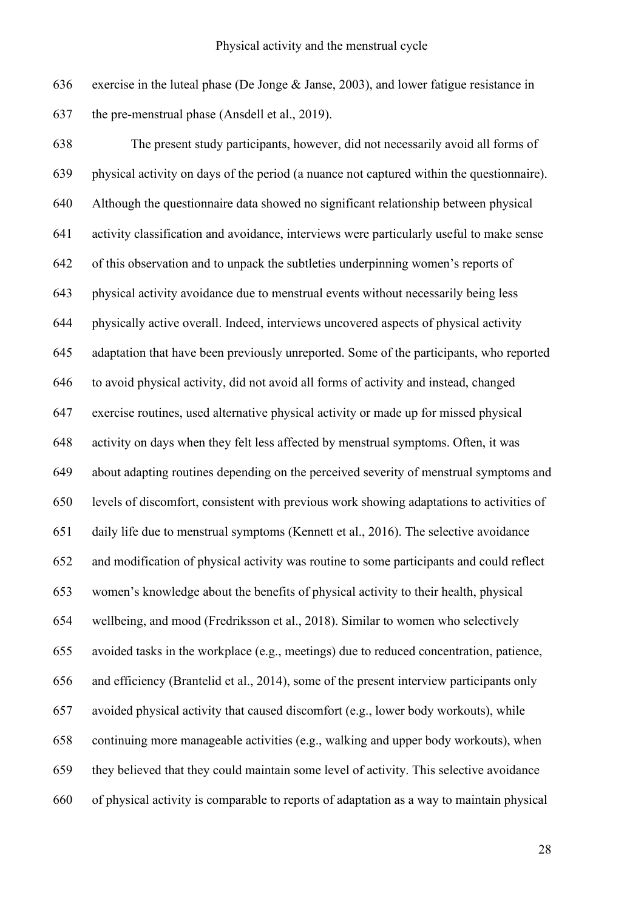exercise in the luteal phase (De Jonge & Janse, 2003), and lower fatigue resistance in the pre-menstrual phase (Ansdell et al., 2019).

 The present study participants, however, did not necessarily avoid all forms of physical activity on days of the period (a nuance not captured within the questionnaire). Although the questionnaire data showed no significant relationship between physical activity classification and avoidance, interviews were particularly useful to make sense of this observation and to unpack the subtleties underpinning women's reports of physical activity avoidance due to menstrual events without necessarily being less physically active overall. Indeed, interviews uncovered aspects of physical activity adaptation that have been previously unreported. Some of the participants, who reported to avoid physical activity, did not avoid all forms of activity and instead, changed exercise routines, used alternative physical activity or made up for missed physical activity on days when they felt less affected by menstrual symptoms. Often, it was about adapting routines depending on the perceived severity of menstrual symptoms and levels of discomfort, consistent with previous work showing adaptations to activities of daily life due to menstrual symptoms (Kennett et al., 2016). The selective avoidance and modification of physical activity was routine to some participants and could reflect women's knowledge about the benefits of physical activity to their health, physical wellbeing, and mood (Fredriksson et al., 2018). Similar to women who selectively avoided tasks in the workplace (e.g., meetings) due to reduced concentration, patience, and efficiency (Brantelid et al., 2014), some of the present interview participants only avoided physical activity that caused discomfort (e.g., lower body workouts), while continuing more manageable activities (e.g., walking and upper body workouts), when they believed that they could maintain some level of activity. This selective avoidance of physical activity is comparable to reports of adaptation as a way to maintain physical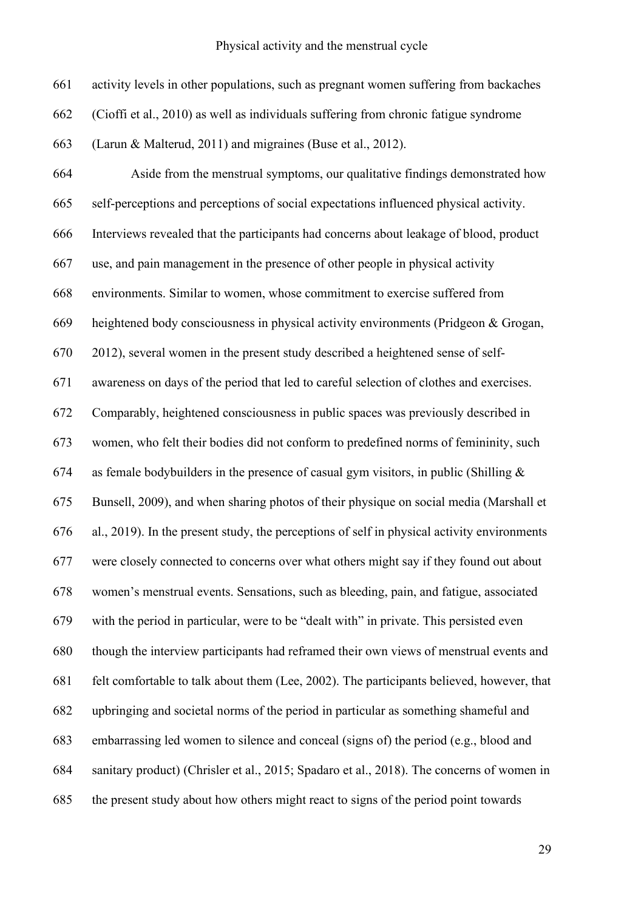activity levels in other populations, such as pregnant women suffering from backaches

 (Cioffi et al., 2010) as well as individuals suffering from chronic fatigue syndrome (Larun & Malterud, 2011) and migraines (Buse et al., 2012). Aside from the menstrual symptoms, our qualitative findings demonstrated how self-perceptions and perceptions of social expectations influenced physical activity. Interviews revealed that the participants had concerns about leakage of blood, product use, and pain management in the presence of other people in physical activity environments. Similar to women, whose commitment to exercise suffered from heightened body consciousness in physical activity environments (Pridgeon & Grogan, 2012), several women in the present study described a heightened sense of self- awareness on days of the period that led to careful selection of clothes and exercises. Comparably, heightened consciousness in public spaces was previously described in women, who felt their bodies did not conform to predefined norms of femininity, such 674 as female bodybuilders in the presence of casual gym visitors, in public (Shilling  $\&$  Bunsell, 2009), and when sharing photos of their physique on social media (Marshall et al., 2019). In the present study, the perceptions of self in physical activity environments were closely connected to concerns over what others might say if they found out about women's menstrual events. Sensations, such as bleeding, pain, and fatigue, associated with the period in particular, were to be "dealt with" in private. This persisted even though the interview participants had reframed their own views of menstrual events and felt comfortable to talk about them (Lee, 2002). The participants believed, however, that upbringing and societal norms of the period in particular as something shameful and embarrassing led women to silence and conceal (signs of) the period (e.g., blood and sanitary product) (Chrisler et al., 2015; Spadaro et al., 2018). The concerns of women in the present study about how others might react to signs of the period point towards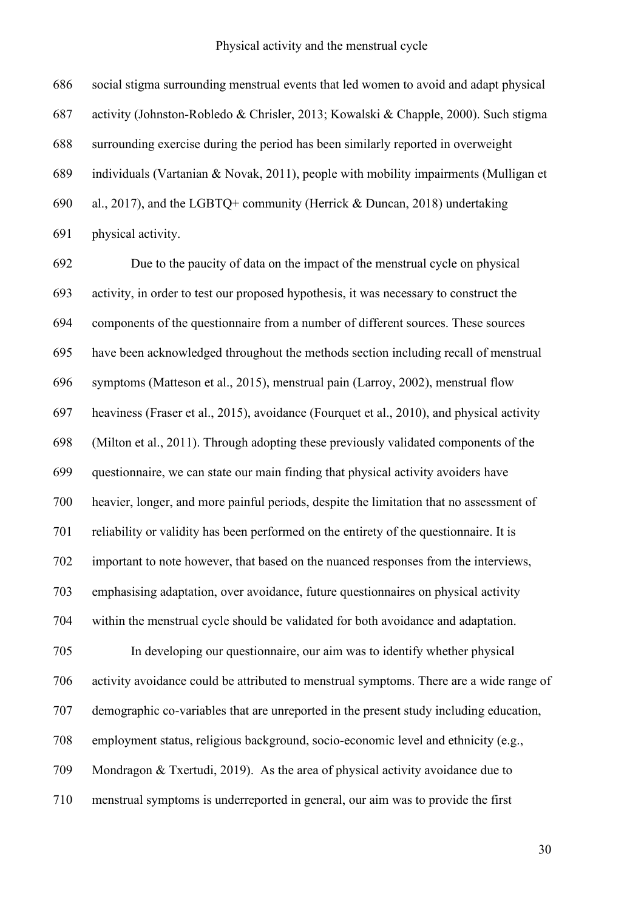social stigma surrounding menstrual events that led women to avoid and adapt physical activity (Johnston-Robledo & Chrisler, 2013; Kowalski & Chapple, 2000). Such stigma surrounding exercise during the period has been similarly reported in overweight individuals (Vartanian & Novak, 2011), people with mobility impairments (Mulligan et al., 2017), and the LGBTQ+ community (Herrick & Duncan, 2018) undertaking physical activity.

 Due to the paucity of data on the impact of the menstrual cycle on physical activity, in order to test our proposed hypothesis, it was necessary to construct the components of the questionnaire from a number of different sources. These sources have been acknowledged throughout the methods section including recall of menstrual symptoms (Matteson et al., 2015), menstrual pain (Larroy, 2002), menstrual flow heaviness (Fraser et al., 2015), avoidance (Fourquet et al., 2010), and physical activity (Milton et al., 2011). Through adopting these previously validated components of the questionnaire, we can state our main finding that physical activity avoiders have heavier, longer, and more painful periods, despite the limitation that no assessment of reliability or validity has been performed on the entirety of the questionnaire. It is important to note however, that based on the nuanced responses from the interviews, emphasising adaptation, over avoidance, future questionnaires on physical activity within the menstrual cycle should be validated for both avoidance and adaptation. In developing our questionnaire, our aim was to identify whether physical activity avoidance could be attributed to menstrual symptoms. There are a wide range of demographic co-variables that are unreported in the present study including education, employment status, religious background, socio-economic level and ethnicity (e.g., Mondragon & Txertudi, 2019). As the area of physical activity avoidance due to menstrual symptoms is underreported in general, our aim was to provide the first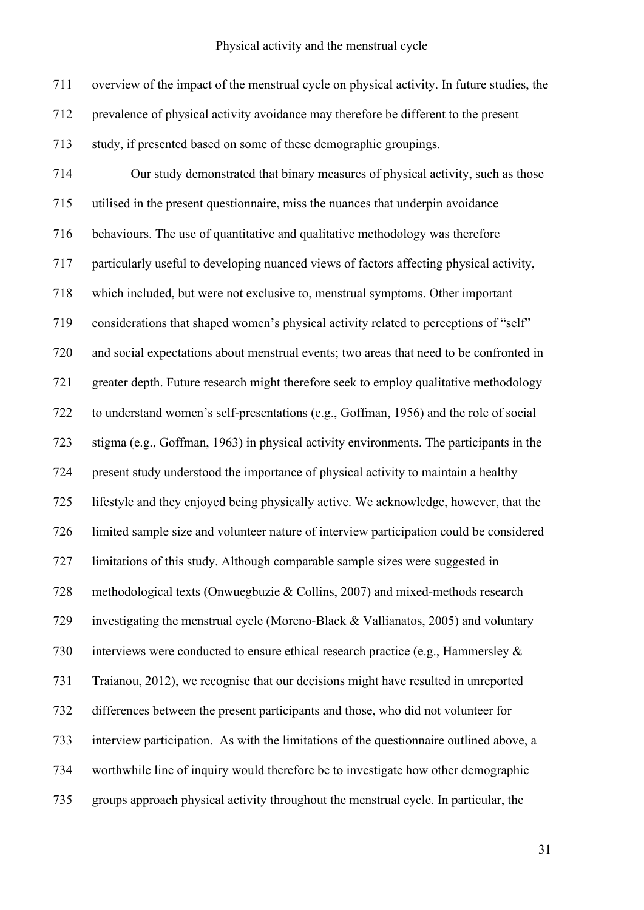overview of the impact of the menstrual cycle on physical activity. In future studies, the prevalence of physical activity avoidance may therefore be different to the present study, if presented based on some of these demographic groupings.

 Our study demonstrated that binary measures of physical activity, such as those utilised in the present questionnaire, miss the nuances that underpin avoidance behaviours. The use of quantitative and qualitative methodology was therefore particularly useful to developing nuanced views of factors affecting physical activity, which included, but were not exclusive to, menstrual symptoms. Other important considerations that shaped women's physical activity related to perceptions of "self" and social expectations about menstrual events; two areas that need to be confronted in greater depth. Future research might therefore seek to employ qualitative methodology to understand women's self-presentations (e.g., Goffman, 1956) and the role of social stigma (e.g., Goffman, 1963) in physical activity environments. The participants in the present study understood the importance of physical activity to maintain a healthy lifestyle and they enjoyed being physically active. We acknowledge, however, that the limited sample size and volunteer nature of interview participation could be considered limitations of this study. Although comparable sample sizes were suggested in methodological texts (Onwuegbuzie & Collins, 2007) and mixed-methods research investigating the menstrual cycle (Moreno-Black & Vallianatos, 2005) and voluntary interviews were conducted to ensure ethical research practice (e.g., Hammersley & Traianou, 2012), we recognise that our decisions might have resulted in unreported differences between the present participants and those, who did not volunteer for interview participation. As with the limitations of the questionnaire outlined above, a worthwhile line of inquiry would therefore be to investigate how other demographic groups approach physical activity throughout the menstrual cycle. In particular, the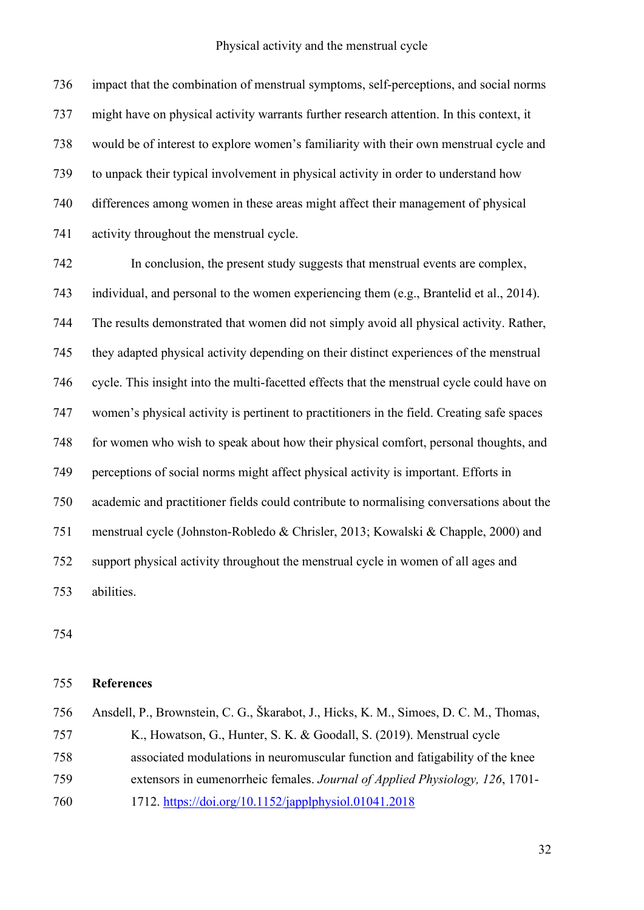impact that the combination of menstrual symptoms, self-perceptions, and social norms might have on physical activity warrants further research attention. In this context, it would be of interest to explore women's familiarity with their own menstrual cycle and to unpack their typical involvement in physical activity in order to understand how differences among women in these areas might affect their management of physical activity throughout the menstrual cycle.

 In conclusion, the present study suggests that menstrual events are complex, individual, and personal to the women experiencing them (e.g., Brantelid et al., 2014). The results demonstrated that women did not simply avoid all physical activity. Rather, they adapted physical activity depending on their distinct experiences of the menstrual cycle. This insight into the multi-facetted effects that the menstrual cycle could have on women's physical activity is pertinent to practitioners in the field. Creating safe spaces for women who wish to speak about how their physical comfort, personal thoughts, and perceptions of social norms might affect physical activity is important. Efforts in academic and practitioner fields could contribute to normalising conversations about the menstrual cycle (Johnston-Robledo & Chrisler, 2013; Kowalski & Chapple, 2000) and support physical activity throughout the menstrual cycle in women of all ages and abilities.

## **References**

| 756 | Ansdell, P., Brownstein, C. G., Škarabot, J., Hicks, K. M., Simoes, D. C. M., Thomas, |
|-----|---------------------------------------------------------------------------------------|
| 757 | K., Howatson, G., Hunter, S. K. & Goodall, S. (2019). Menstrual cycle                 |
| 758 | associated modulations in neuromuscular function and fatigability of the knee         |
| 759 | extensors in eumenorrheic females. Journal of Applied Physiology, 126, 1701-          |
| 760 | 1712. https://doi.org/10.1152/japplphysiol.01041.2018                                 |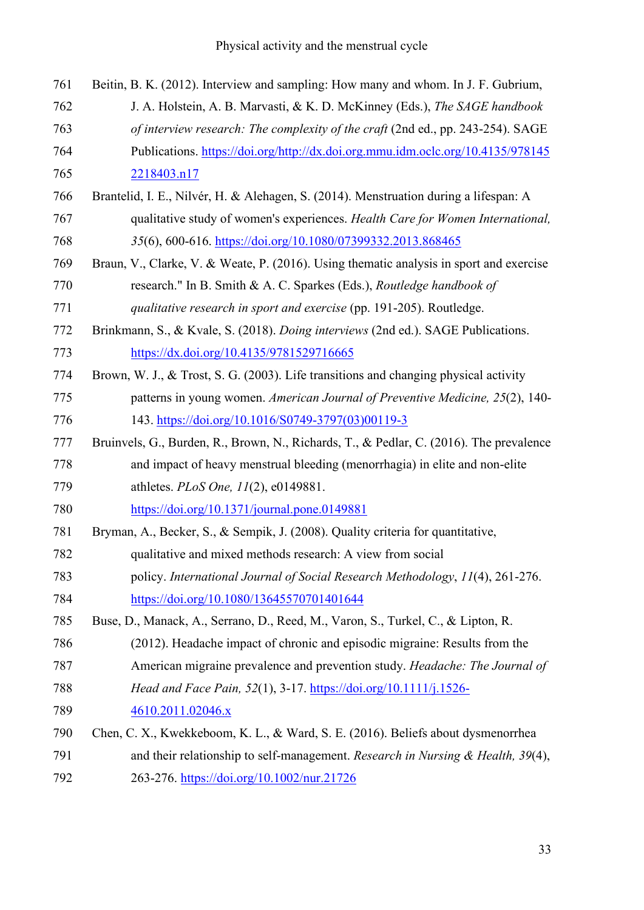| 761 | Beitin, B. K. (2012). Interview and sampling: How many and whom. In J. F. Gubrium,      |
|-----|-----------------------------------------------------------------------------------------|
| 762 | J. A. Holstein, A. B. Marvasti, & K. D. McKinney (Eds.), The SAGE handbook              |
| 763 | of interview research: The complexity of the craft (2nd ed., pp. 243-254). SAGE         |
| 764 | Publications. https://doi.org/http://dx.doi.org.mmu.idm.oclc.org/10.4135/978145         |
| 765 | 2218403.n17                                                                             |
| 766 | Brantelid, I. E., Nilvér, H. & Alehagen, S. (2014). Menstruation during a lifespan: A   |
| 767 | qualitative study of women's experiences. Health Care for Women International,          |
| 768 | 35(6), 600-616. https://doi.org/10.1080/07399332.2013.868465                            |
| 769 | Braun, V., Clarke, V. & Weate, P. (2016). Using thematic analysis in sport and exercise |
| 770 | research." In B. Smith & A. C. Sparkes (Eds.), Routledge handbook of                    |
| 771 | qualitative research in sport and exercise (pp. 191-205). Routledge.                    |
| 772 | Brinkmann, S., & Kvale, S. (2018). Doing interviews (2nd ed.). SAGE Publications.       |
| 773 | https://dx.doi.org/10.4135/9781529716665                                                |
| 774 | Brown, W. J., & Trost, S. G. (2003). Life transitions and changing physical activity    |
| 775 | patterns in young women. American Journal of Preventive Medicine, 25(2), 140-           |
| 776 | 143. https://doi.org/10.1016/S0749-3797(03)00119-3                                      |
| 777 | Bruinvels, G., Burden, R., Brown, N., Richards, T., & Pedlar, C. (2016). The prevalence |
| 778 | and impact of heavy menstrual bleeding (menorrhagia) in elite and non-elite             |
| 779 | athletes. PLoS One, 11(2), e0149881.                                                    |
| 780 | https://doi.org/10.1371/journal.pone.0149881                                            |
| 781 | Bryman, A., Becker, S., & Sempik, J. (2008). Quality criteria for quantitative,         |
| 782 | qualitative and mixed methods research: A view from social                              |
| 783 | policy. International Journal of Social Research Methodology, 11(4), 261-276.           |
| 784 | https://doi.org/10.1080/13645570701401644                                               |
| 785 | Buse, D., Manack, A., Serrano, D., Reed, M., Varon, S., Turkel, C., & Lipton, R.        |
| 786 | (2012). Headache impact of chronic and episodic migraine: Results from the              |
| 787 | American migraine prevalence and prevention study. Headache: The Journal of             |
| 788 | Head and Face Pain, 52(1), 3-17. https://doi.org/10.1111/j.1526-                        |
| 789 | 4610.2011.02046.x                                                                       |
| 790 | Chen, C. X., Kwekkeboom, K. L., & Ward, S. E. (2016). Beliefs about dysmenorrhea        |
| 791 | and their relationship to self-management. Research in Nursing & Health, $39(4)$ ,      |
| 792 | 263-276. https://doi.org/10.1002/nur.21726                                              |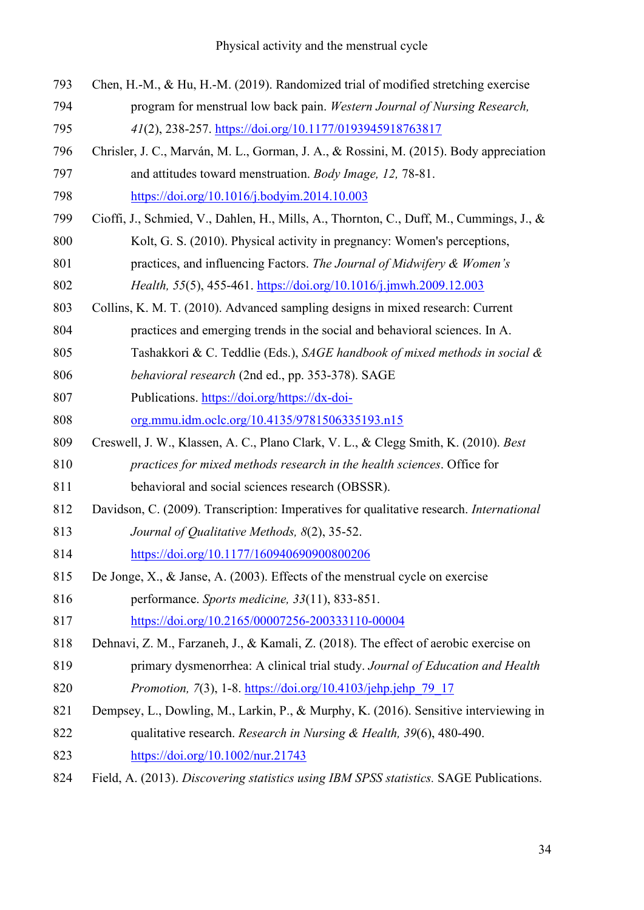| 793 | Chen, H.-M., & Hu, H.-M. (2019). Randomized trial of modified stretching exercise       |
|-----|-----------------------------------------------------------------------------------------|
| 794 | program for menstrual low back pain. Western Journal of Nursing Research,               |
| 795 | 41(2), 238-257. https://doi.org/10.1177/0193945918763817                                |
| 796 | Chrisler, J. C., Marván, M. L., Gorman, J. A., & Rossini, M. (2015). Body appreciation  |
| 797 | and attitudes toward menstruation. Body Image, 12, 78-81.                               |
| 798 | https://doi.org/10.1016/j.bodyim.2014.10.003                                            |
| 799 | Cioffi, J., Schmied, V., Dahlen, H., Mills, A., Thornton, C., Duff, M., Cummings, J., & |
| 800 | Kolt, G. S. (2010). Physical activity in pregnancy: Women's perceptions,                |
| 801 | practices, and influencing Factors. The Journal of Midwifery & Women's                  |
| 802 | Health, 55(5), 455-461. https://doi.org/10.1016/j.jmwh.2009.12.003                      |
| 803 | Collins, K. M. T. (2010). Advanced sampling designs in mixed research: Current          |
| 804 | practices and emerging trends in the social and behavioral sciences. In A.              |
| 805 | Tashakkori & C. Teddlie (Eds.), SAGE handbook of mixed methods in social &              |
| 806 | behavioral research (2nd ed., pp. 353-378). SAGE                                        |
| 807 | Publications. https://doi.org/https://dx-doi-                                           |
| 808 | org.mmu.idm.oclc.org/10.4135/9781506335193.n15                                          |
| 809 | Creswell, J. W., Klassen, A. C., Plano Clark, V. L., & Clegg Smith, K. (2010). Best     |
| 810 | practices for mixed methods research in the health sciences. Office for                 |
| 811 | behavioral and social sciences research (OBSSR).                                        |
| 812 | Davidson, C. (2009). Transcription: Imperatives for qualitative research. International |
| 813 | Journal of Qualitative Methods, 8(2), 35-52.                                            |
| 814 | https://doi.org/10.1177/160940690900800206                                              |
| 815 | De Jonge, X., & Janse, A. (2003). Effects of the menstrual cycle on exercise            |
| 816 | performance. Sports medicine, 33(11), 833-851.                                          |
| 817 | https://doi.org/10.2165/00007256-200333110-00004                                        |
| 818 | Dehnavi, Z. M., Farzaneh, J., & Kamali, Z. (2018). The effect of aerobic exercise on    |
| 819 | primary dysmenorrhea: A clinical trial study. Journal of Education and Health           |
| 820 | Promotion, 7(3), 1-8. https://doi.org/10.4103/jehp.jehp_79_17                           |
| 821 | Dempsey, L., Dowling, M., Larkin, P., & Murphy, K. (2016). Sensitive interviewing in    |
| 822 | qualitative research. Research in Nursing & Health, 39(6), 480-490.                     |
| 823 | $\frac{https://doi.org/10.1002/nur.21743}{https://doi.org/10.1002/nur.21743}$           |
| 824 | Field, A. (2013). Discovering statistics using IBM SPSS statistics. SAGE Publications.  |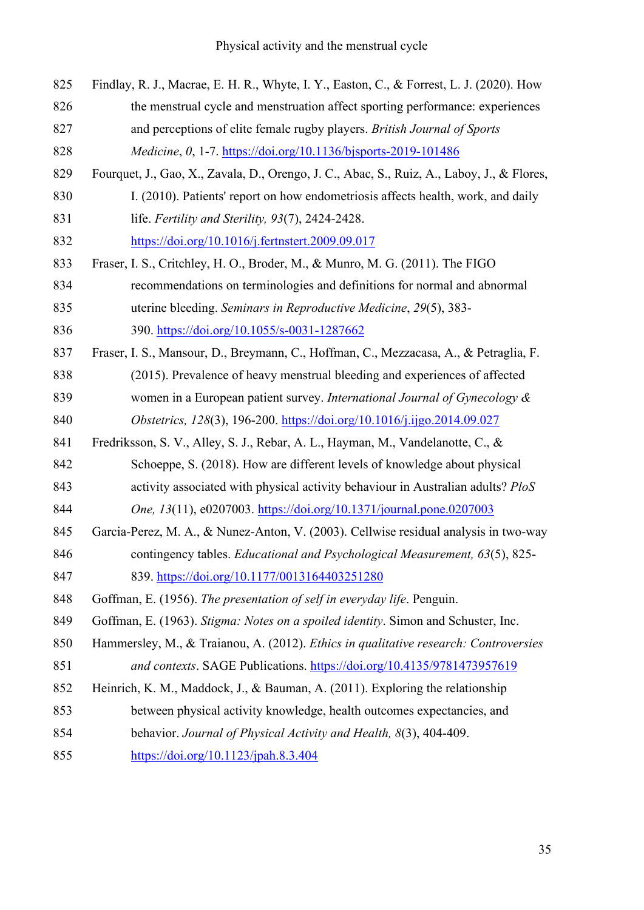| 825 | Findlay, R. J., Macrae, E. H. R., Whyte, I. Y., Easton, C., & Forrest, L. J. (2020). How   |
|-----|--------------------------------------------------------------------------------------------|
| 826 | the menstrual cycle and menstruation affect sporting performance: experiences              |
| 827 | and perceptions of elite female rugby players. British Journal of Sports                   |
| 828 | Medicine, 0, 1-7. https://doi.org/10.1136/bjsports-2019-101486                             |
| 829 | Fourquet, J., Gao, X., Zavala, D., Orengo, J. C., Abac, S., Ruiz, A., Laboy, J., & Flores, |
| 830 | I. (2010). Patients' report on how endometriosis affects health, work, and daily           |
| 831 | life. Fertility and Sterility, 93(7), 2424-2428.                                           |
| 832 | https://doi.org/10.1016/j.fertnstert.2009.09.017                                           |
| 833 | Fraser, I. S., Critchley, H. O., Broder, M., & Munro, M. G. (2011). The FIGO               |
| 834 | recommendations on terminologies and definitions for normal and abnormal                   |
| 835 | uterine bleeding. Seminars in Reproductive Medicine, 29(5), 383-                           |
| 836 | 390. https://doi.org/10.1055/s-0031-1287662                                                |
| 837 | Fraser, I. S., Mansour, D., Breymann, C., Hoffman, C., Mezzacasa, A., & Petraglia, F.      |
| 838 | (2015). Prevalence of heavy menstrual bleeding and experiences of affected                 |
| 839 | women in a European patient survey. International Journal of Gynecology $\&$               |
| 840 | Obstetrics, 128(3), 196-200. https://doi.org/10.1016/j.ijgo.2014.09.027                    |
| 841 | Fredriksson, S. V., Alley, S. J., Rebar, A. L., Hayman, M., Vandelanotte, C., &            |
| 842 | Schoeppe, S. (2018). How are different levels of knowledge about physical                  |
| 843 | activity associated with physical activity behaviour in Australian adults? PloS            |
| 844 | <i>One, 13(11), e0207003. https://doi.org/10.1371/journal.pone.0207003</i>                 |
| 845 | Garcia-Perez, M. A., & Nunez-Anton, V. (2003). Cellwise residual analysis in two-way       |
| 846 | contingency tables. Educational and Psychological Measurement, 63(5), 825-                 |
| 847 | 839. https://doi.org/10.1177/0013164403251280                                              |
| 848 | Goffman, E. (1956). The presentation of self in everyday life. Penguin.                    |
| 849 | Goffman, E. (1963). Stigma: Notes on a spoiled identity. Simon and Schuster, Inc.          |
| 850 | Hammersley, M., & Traianou, A. (2012). Ethics in qualitative research: Controversies       |
| 851 | and contexts. SAGE Publications. https://doi.org/10.4135/9781473957619                     |
| 852 | Heinrich, K. M., Maddock, J., & Bauman, A. (2011). Exploring the relationship              |
| 853 | between physical activity knowledge, health outcomes expectancies, and                     |
| 854 | behavior. Journal of Physical Activity and Health, 8(3), 404-409.                          |
| 855 | $\frac{https://doi.org/10.1123/pah.8.3.404}{https://doi.org/10.1123/pah.8.3.404}$          |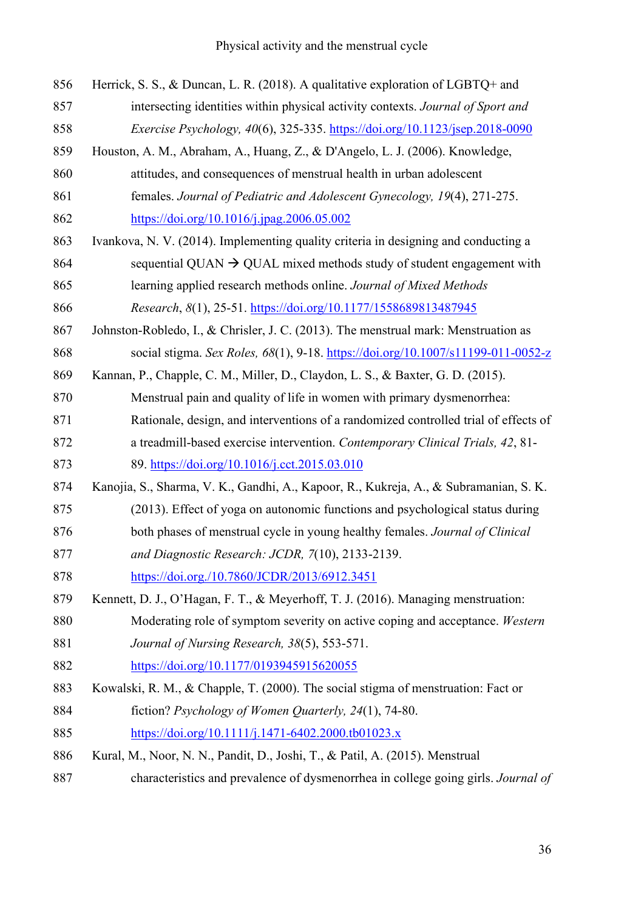| 856 | Herrick, S. S., & Duncan, L. R. (2018). A qualitative exploration of LGBTQ+ and                                 |
|-----|-----------------------------------------------------------------------------------------------------------------|
| 857 | intersecting identities within physical activity contexts. Journal of Sport and                                 |
| 858 | Exercise Psychology, 40(6), 325-335. https://doi.org/10.1123/jsep.2018-0090                                     |
| 859 | Houston, A. M., Abraham, A., Huang, Z., & D'Angelo, L. J. (2006). Knowledge,                                    |
| 860 | attitudes, and consequences of menstrual health in urban adolescent                                             |
| 861 | females. Journal of Pediatric and Adolescent Gynecology, 19(4), 271-275.                                        |
| 862 | https://doi.org/10.1016/j.jpag.2006.05.002                                                                      |
| 863 | Ivankova, N. V. (2014). Implementing quality criteria in designing and conducting a                             |
| 864 | sequential QUAN $\rightarrow$ QUAL mixed methods study of student engagement with                               |
| 865 | learning applied research methods online. Journal of Mixed Methods                                              |
| 866 | Research, 8(1), 25-51. https://doi.org/10.1177/1558689813487945                                                 |
| 867 | Johnston-Robledo, I., & Chrisler, J. C. (2013). The menstrual mark: Menstruation as                             |
| 868 | social stigma. Sex Roles, 68(1), 9-18. https://doi.org/10.1007/s11199-011-0052-z                                |
| 869 | Kannan, P., Chapple, C. M., Miller, D., Claydon, L. S., & Baxter, G. D. (2015).                                 |
| 870 | Menstrual pain and quality of life in women with primary dysmenorrhea:                                          |
| 871 | Rationale, design, and interventions of a randomized controlled trial of effects of                             |
| 872 | a treadmill-based exercise intervention. Contemporary Clinical Trials, 42, 81-                                  |
| 873 | 89. https://doi.org/10.1016/j.cct.2015.03.010                                                                   |
| 874 | Kanojia, S., Sharma, V. K., Gandhi, A., Kapoor, R., Kukreja, A., & Subramanian, S. K.                           |
| 875 | (2013). Effect of yoga on autonomic functions and psychological status during                                   |
| 876 | both phases of menstrual cycle in young healthy females. Journal of Clinical                                    |
| 877 | and Diagnostic Research: JCDR, 7(10), 2133-2139.                                                                |
| 878 | https://doi.org./10.7860/JCDR/2013/6912.3451                                                                    |
| 879 | Kennett, D. J., O'Hagan, F. T., & Meyerhoff, T. J. (2016). Managing menstruation:                               |
| 880 | Moderating role of symptom severity on active coping and acceptance. Western                                    |
| 881 | Journal of Nursing Research, 38(5), 553-571.                                                                    |
| 882 | https://doi.org/10.1177/0193945915620055                                                                        |
| 883 | Kowalski, R. M., & Chapple, T. (2000). The social stigma of menstruation: Fact or                               |
| 884 | fiction? Psychology of Women Quarterly, 24(1), 74-80.                                                           |
| 885 | $\frac{https://doi.org/10.1111/j.1471-6402.2000.tb01023.x}{https://doi.org/10.1111/j.1471-6402.2000.tb01023.x}$ |
| 886 | Kural, M., Noor, N. N., Pandit, D., Joshi, T., & Patil, A. (2015). Menstrual                                    |
| 887 | characteristics and prevalence of dysmenorrhea in college going girls. Journal of                               |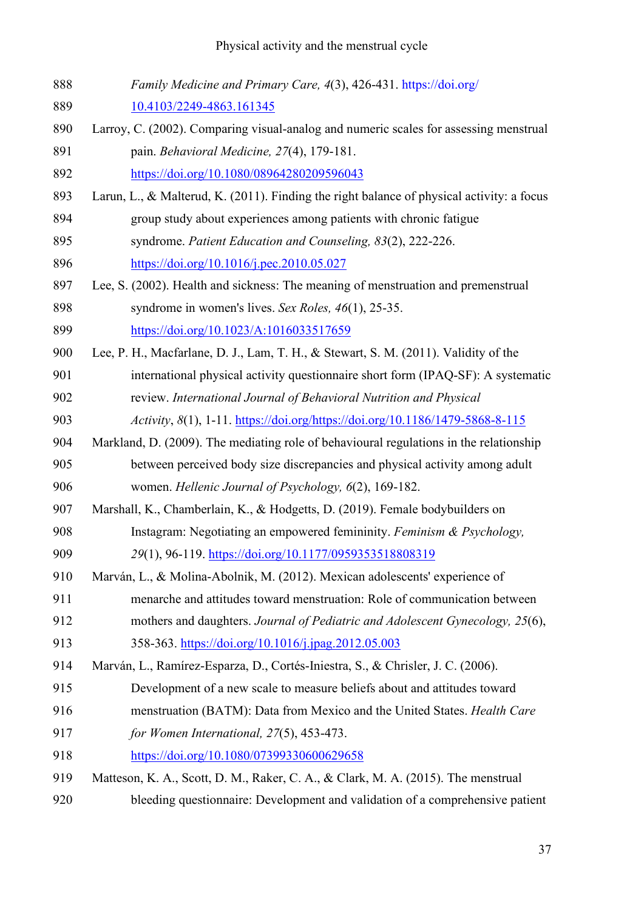| 888 | Family Medicine and Primary Care, 4(3), 426-431. https://doi.org/                         |
|-----|-------------------------------------------------------------------------------------------|
| 889 | 10.4103/2249-4863.161345                                                                  |
| 890 | Larroy, C. (2002). Comparing visual-analog and numeric scales for assessing menstrual     |
| 891 | pain. Behavioral Medicine, 27(4), 179-181.                                                |
| 892 | https://doi.org/10.1080/08964280209596043                                                 |
| 893 | Larun, L., & Malterud, K. (2011). Finding the right balance of physical activity: a focus |
| 894 | group study about experiences among patients with chronic fatigue                         |
| 895 | syndrome. Patient Education and Counseling, 83(2), 222-226.                               |
| 896 | https://doi.org/10.1016/j.pec.2010.05.027                                                 |
| 897 | Lee, S. (2002). Health and sickness: The meaning of menstruation and premenstrual         |
| 898 | syndrome in women's lives. Sex Roles, 46(1), 25-35.                                       |
| 899 | https://doi.org/10.1023/A:1016033517659                                                   |
| 900 | Lee, P. H., Macfarlane, D. J., Lam, T. H., & Stewart, S. M. (2011). Validity of the       |
| 901 | international physical activity questionnaire short form (IPAQ-SF): A systematic          |
| 902 | review. International Journal of Behavioral Nutrition and Physical                        |
| 903 | Activity, 8(1), 1-11. https://doi.org/https://doi.org/10.1186/1479-5868-8-115             |
| 904 | Markland, D. (2009). The mediating role of behavioural regulations in the relationship    |
| 905 | between perceived body size discrepancies and physical activity among adult               |
| 906 | women. Hellenic Journal of Psychology, 6(2), 169-182.                                     |
| 907 | Marshall, K., Chamberlain, K., & Hodgetts, D. (2019). Female bodybuilders on              |
| 908 | Instagram: Negotiating an empowered femininity. Feminism & Psychology,                    |
| 909 | 29(1), 96-119. https://doi.org/10.1177/0959353518808319                                   |
| 910 | Marván, L., & Molina-Abolnik, M. (2012). Mexican adolescents' experience of               |
| 911 | menarche and attitudes toward menstruation: Role of communication between                 |
| 912 | mothers and daughters. Journal of Pediatric and Adolescent Gynecology, 25(6),             |
| 913 | 358-363. https://doi.org/10.1016/j.jpag.2012.05.003                                       |
| 914 | Marván, L., Ramírez-Esparza, D., Cortés-Iniestra, S., & Chrisler, J. C. (2006).           |
| 915 | Development of a new scale to measure beliefs about and attitudes toward                  |
| 916 | menstruation (BATM): Data from Mexico and the United States. Health Care                  |
| 917 | for Women International, 27(5), 453-473.                                                  |
| 918 | https://doi.org/10.1080/07399330600629658                                                 |
| 919 | Matteson, K. A., Scott, D. M., Raker, C. A., & Clark, M. A. (2015). The menstrual         |
| 920 | bleeding questionnaire: Development and validation of a comprehensive patient             |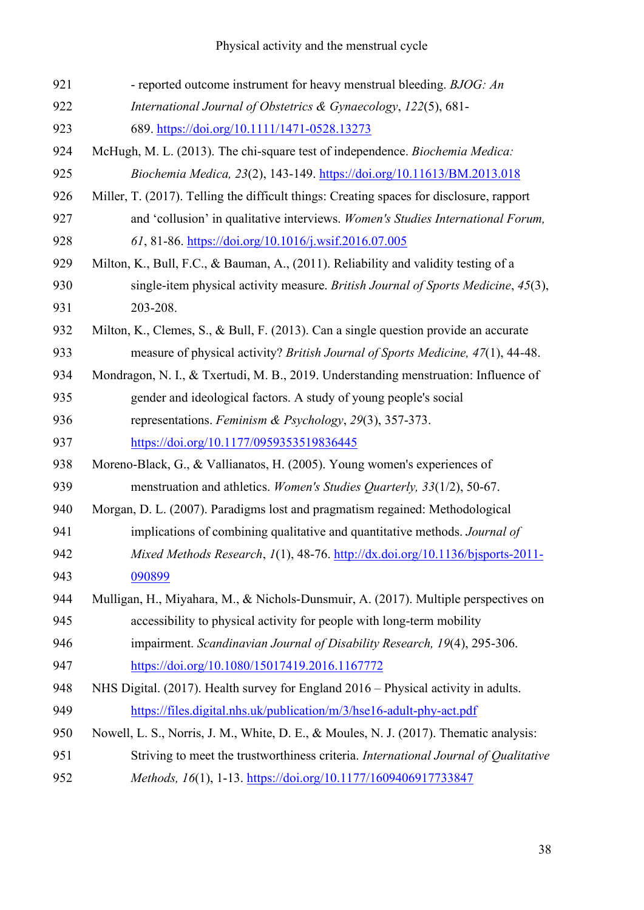| 921 | - reported outcome instrument for heavy menstrual bleeding. BJOG: An                     |
|-----|------------------------------------------------------------------------------------------|
| 922 | International Journal of Obstetrics & Gynaecology, 122(5), 681-                          |
| 923 | 689. https://doi.org/10.1111/1471-0528.13273                                             |
| 924 | McHugh, M. L. (2013). The chi-square test of independence. Biochemia Medica:             |
| 925 | Biochemia Medica, 23(2), 143-149. https://doi.org/10.11613/BM.2013.018                   |
| 926 | Miller, T. (2017). Telling the difficult things: Creating spaces for disclosure, rapport |
| 927 | and 'collusion' in qualitative interviews. Women's Studies International Forum,          |
| 928 | 61, 81-86. https://doi.org/10.1016/j.wsif.2016.07.005                                    |
| 929 | Milton, K., Bull, F.C., & Bauman, A., (2011). Reliability and validity testing of a      |
| 930 | single-item physical activity measure. British Journal of Sports Medicine, 45(3),        |
| 931 | 203-208.                                                                                 |
| 932 | Milton, K., Clemes, S., & Bull, F. (2013). Can a single question provide an accurate     |
| 933 | measure of physical activity? British Journal of Sports Medicine, 47(1), 44-48.          |
| 934 | Mondragon, N. I., & Txertudi, M. B., 2019. Understanding menstruation: Influence of      |
| 935 | gender and ideological factors. A study of young people's social                         |
| 936 | representations. Feminism & Psychology, 29(3), 357-373.                                  |
| 937 | https://doi.org/10.1177/0959353519836445                                                 |
| 938 | Moreno-Black, G., & Vallianatos, H. (2005). Young women's experiences of                 |
| 939 | menstruation and athletics. Women's Studies Quarterly, 33(1/2), 50-67.                   |
| 940 | Morgan, D. L. (2007). Paradigms lost and pragmatism regained: Methodological             |
| 941 | implications of combining qualitative and quantitative methods. Journal of               |
| 942 | Mixed Methods Research, 1(1), 48-76. http://dx.doi.org/10.1136/bjsports-2011-            |
| 943 | 090899                                                                                   |
| 944 | Mulligan, H., Miyahara, M., & Nichols-Dunsmuir, A. (2017). Multiple perspectives on      |
| 945 | accessibility to physical activity for people with long-term mobility                    |
| 946 | impairment. Scandinavian Journal of Disability Research, 19(4), 295-306.                 |
| 947 | https://doi.org/10.1080/15017419.2016.1167772                                            |
| 948 | NHS Digital. (2017). Health survey for England 2016 – Physical activity in adults.       |
| 949 | https://files.digital.nhs.uk/publication/m/3/hse16-adult-phy-act.pdf                     |
| 950 | Nowell, L. S., Norris, J. M., White, D. E., & Moules, N. J. (2017). Thematic analysis:   |
| 951 | Striving to meet the trustworthiness criteria. International Journal of Qualitative      |
| 952 | Methods, 16(1), 1-13. https://doi.org/10.1177/1609406917733847                           |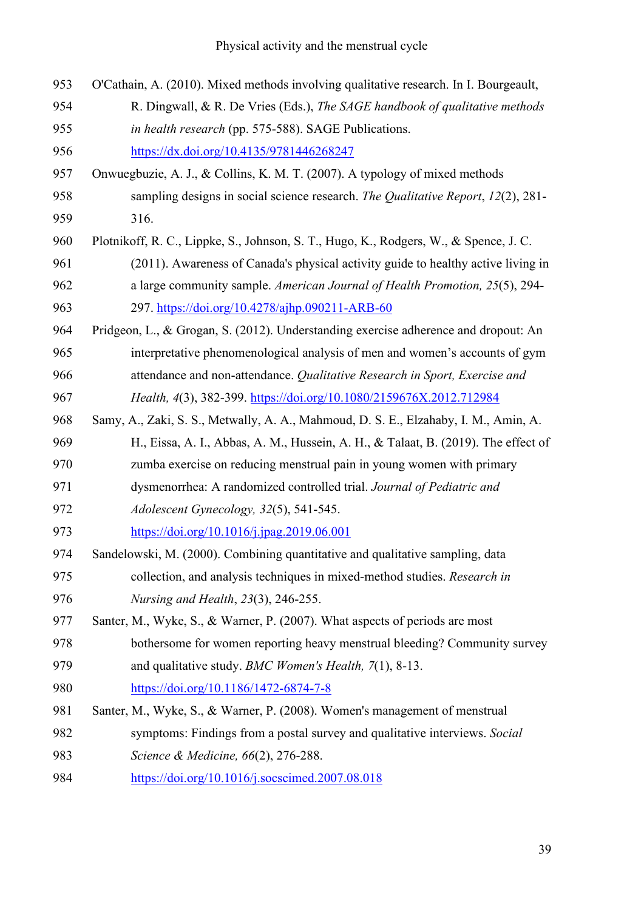| 953 | O'Cathain, A. (2010). Mixed methods involving qualitative research. In I. Bourgeault, |
|-----|---------------------------------------------------------------------------------------|
| 954 | R. Dingwall, & R. De Vries (Eds.), The SAGE handbook of qualitative methods           |
| 955 | in health research (pp. 575-588). SAGE Publications.                                  |
| 956 | https://dx.doi.org/10.4135/9781446268247                                              |
| 957 | Onwuegbuzie, A. J., & Collins, K. M. T. (2007). A typology of mixed methods           |
| 958 | sampling designs in social science research. The Qualitative Report, 12(2), 281-      |
| 959 | 316.                                                                                  |
| 960 | Plotnikoff, R. C., Lippke, S., Johnson, S. T., Hugo, K., Rodgers, W., & Spence, J. C. |
| 961 | (2011). Awareness of Canada's physical activity guide to healthy active living in     |
| 962 | a large community sample. American Journal of Health Promotion, 25(5), 294-           |
| 963 | 297. https://doi.org/10.4278/ajhp.090211-ARB-60                                       |
| 964 | Pridgeon, L., & Grogan, S. (2012). Understanding exercise adherence and dropout: An   |
| 965 | interpretative phenomenological analysis of men and women's accounts of gym           |
| 966 | attendance and non-attendance. Qualitative Research in Sport, Exercise and            |
| 967 | Health, 4(3), 382-399. https://doi.org/10.1080/2159676X.2012.712984                   |
| 968 | Samy, A., Zaki, S. S., Metwally, A. A., Mahmoud, D. S. E., Elzahaby, I. M., Amin, A.  |
| 969 | H., Eissa, A. I., Abbas, A. M., Hussein, A. H., & Talaat, B. (2019). The effect of    |
| 970 | zumba exercise on reducing menstrual pain in young women with primary                 |
| 971 | dysmenorrhea: A randomized controlled trial. Journal of Pediatric and                 |
| 972 | Adolescent Gynecology, 32(5), 541-545.                                                |
| 973 | https://doi.org/10.1016/j.jpag.2019.06.001                                            |
| 974 | Sandelowski, M. (2000). Combining quantitative and qualitative sampling, data         |
| 975 | collection, and analysis techniques in mixed-method studies. Research in              |
| 976 | Nursing and Health, 23(3), 246-255.                                                   |
| 977 | Santer, M., Wyke, S., & Warner, P. (2007). What aspects of periods are most           |
| 978 | bothersome for women reporting heavy menstrual bleeding? Community survey             |
| 979 | and qualitative study. BMC Women's Health, 7(1), 8-13.                                |
| 980 | https://doi.org/10.1186/1472-6874-7-8                                                 |
| 981 | Santer, M., Wyke, S., & Warner, P. (2008). Women's management of menstrual            |
| 982 | symptoms: Findings from a postal survey and qualitative interviews. Social            |
| 983 | Science & Medicine, 66(2), 276-288.                                                   |
| 984 | https://doi.org/10.1016/j.socscimed.2007.08.018                                       |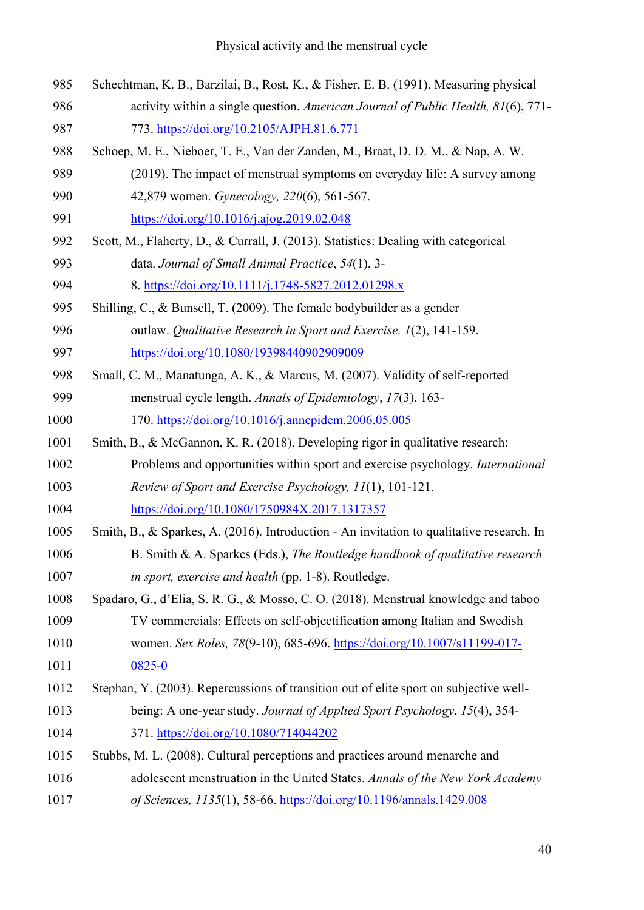| 985  | Schechtman, K. B., Barzilai, B., Rost, K., & Fisher, E. B. (1991). Measuring physical     |
|------|-------------------------------------------------------------------------------------------|
| 986  | activity within a single question. American Journal of Public Health, 81(6), 771-         |
| 987  | 773. https://doi.org/10.2105/AJPH.81.6.771                                                |
| 988  | Schoep, M. E., Nieboer, T. E., Van der Zanden, M., Braat, D. D. M., & Nap, A. W.          |
| 989  | (2019). The impact of menstrual symptoms on everyday life: A survey among                 |
| 990  | 42,879 women. Gynecology, 220(6), 561-567.                                                |
| 991  | https://doi.org/10.1016/j.ajog.2019.02.048                                                |
| 992  | Scott, M., Flaherty, D., & Currall, J. (2013). Statistics: Dealing with categorical       |
| 993  | data. Journal of Small Animal Practice, 54(1), 3-                                         |
| 994  | 8. https://doi.org/10.1111/j.1748-5827.2012.01298.x                                       |
| 995  | Shilling, C., & Bunsell, T. (2009). The female bodybuilder as a gender                    |
| 996  | outlaw. Qualitative Research in Sport and Exercise, 1(2), 141-159.                        |
| 997  | https://doi.org/10.1080/19398440902909009                                                 |
| 998  | Small, C. M., Manatunga, A. K., & Marcus, M. (2007). Validity of self-reported            |
| 999  | menstrual cycle length. Annals of Epidemiology, 17(3), 163-                               |
| 1000 | 170. https://doi.org/10.1016/j.annepidem.2006.05.005                                      |
| 1001 | Smith, B., & McGannon, K. R. (2018). Developing rigor in qualitative research:            |
| 1002 | Problems and opportunities within sport and exercise psychology. International            |
| 1003 | Review of Sport and Exercise Psychology, 11(1), 101-121.                                  |
| 1004 | https://doi.org/10.1080/1750984X.2017.1317357                                             |
| 1005 | Smith, B., & Sparkes, A. (2016). Introduction - An invitation to qualitative research. In |
| 1006 | B. Smith & A. Sparkes (Eds.), The Routledge handbook of qualitative research              |
| 1007 | in sport, exercise and health (pp. 1-8). Routledge.                                       |
| 1008 | Spadaro, G., d'Elia, S. R. G., & Mosso, C. O. (2018). Menstrual knowledge and taboo       |
| 1009 | TV commercials: Effects on self-objectification among Italian and Swedish                 |
| 1010 | women. Sex Roles, 78(9-10), 685-696. https://doi.org/10.1007/s11199-017-                  |
| 1011 | 0825-0                                                                                    |
| 1012 | Stephan, Y. (2003). Repercussions of transition out of elite sport on subjective well-    |
| 1013 | being: A one-year study. Journal of Applied Sport Psychology, 15(4), 354-                 |
| 1014 | 371. https://doi.org/10.1080/714044202                                                    |
| 1015 | Stubbs, M. L. (2008). Cultural perceptions and practices around menarche and              |
| 1016 | adolescent menstruation in the United States. Annals of the New York Academy              |
| 1017 | of Sciences, 1135(1), 58-66. https://doi.org/10.1196/annals.1429.008                      |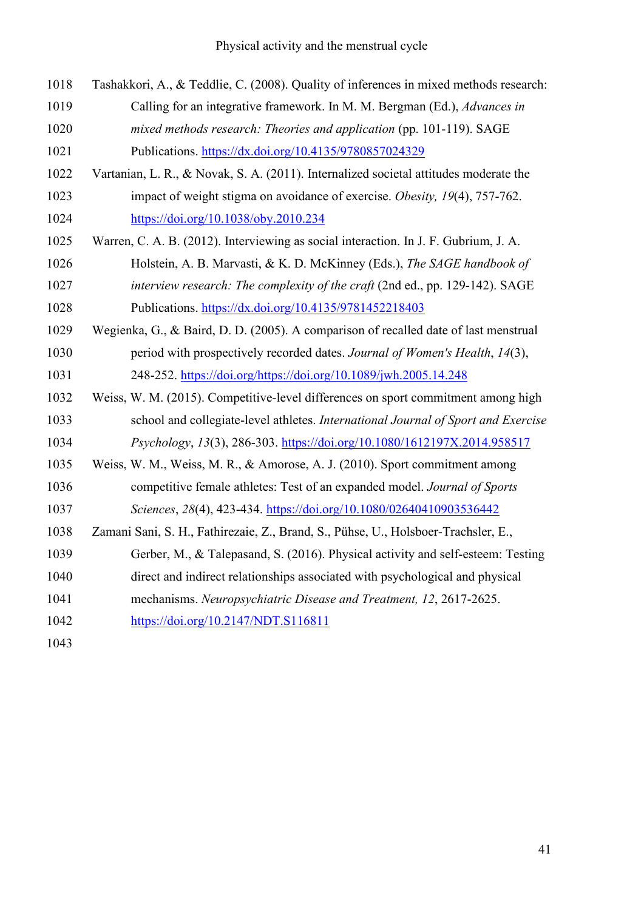| 1018 | Tashakkori, A., & Teddlie, C. (2008). Quality of inferences in mixed methods research: |
|------|----------------------------------------------------------------------------------------|
| 1019 | Calling for an integrative framework. In M. M. Bergman (Ed.), Advances in              |
| 1020 | mixed methods research: Theories and application (pp. 101-119). SAGE                   |
| 1021 | Publications. https://dx.doi.org/10.4135/9780857024329                                 |
| 1022 | Vartanian, L. R., & Novak, S. A. (2011). Internalized societal attitudes moderate the  |
| 1023 | impact of weight stigma on avoidance of exercise. Obesity, 19(4), 757-762.             |
| 1024 | https://doi.org/10.1038/oby.2010.234                                                   |
| 1025 | Warren, C. A. B. (2012). Interviewing as social interaction. In J. F. Gubrium, J. A.   |
| 1026 | Holstein, A. B. Marvasti, & K. D. McKinney (Eds.), The SAGE handbook of                |
| 1027 | interview research: The complexity of the craft (2nd ed., pp. 129-142). SAGE           |
| 1028 | Publications. https://dx.doi.org/10.4135/9781452218403                                 |
| 1029 | Wegienka, G., & Baird, D. D. (2005). A comparison of recalled date of last menstrual   |
| 1030 | period with prospectively recorded dates. Journal of Women's Health, 14(3),            |
| 1031 | 248-252. https://doi.org/https://doi.org/10.1089/jwh.2005.14.248                       |
| 1032 | Weiss, W. M. (2015). Competitive-level differences on sport commitment among high      |
| 1033 | school and collegiate-level athletes. International Journal of Sport and Exercise      |
| 1034 | Psychology, 13(3), 286-303. https://doi.org/10.1080/1612197X.2014.958517               |
| 1035 | Weiss, W. M., Weiss, M. R., & Amorose, A. J. (2010). Sport commitment among            |
| 1036 | competitive female athletes: Test of an expanded model. Journal of Sports              |
| 1037 | Sciences, 28(4), 423-434. https://doi.org/10.1080/02640410903536442                    |
| 1038 | Zamani Sani, S. H., Fathirezaie, Z., Brand, S., Pühse, U., Holsboer-Trachsler, E.,     |
| 1039 | Gerber, M., & Talepasand, S. (2016). Physical activity and self-esteem: Testing        |
| 1040 | direct and indirect relationships associated with psychological and physical           |
| 1041 | mechanisms. Neuropsychiatric Disease and Treatment, 12, 2617-2625.                     |
| 1042 | https://doi.org/10.2147/NDT.S116811                                                    |
| 1043 |                                                                                        |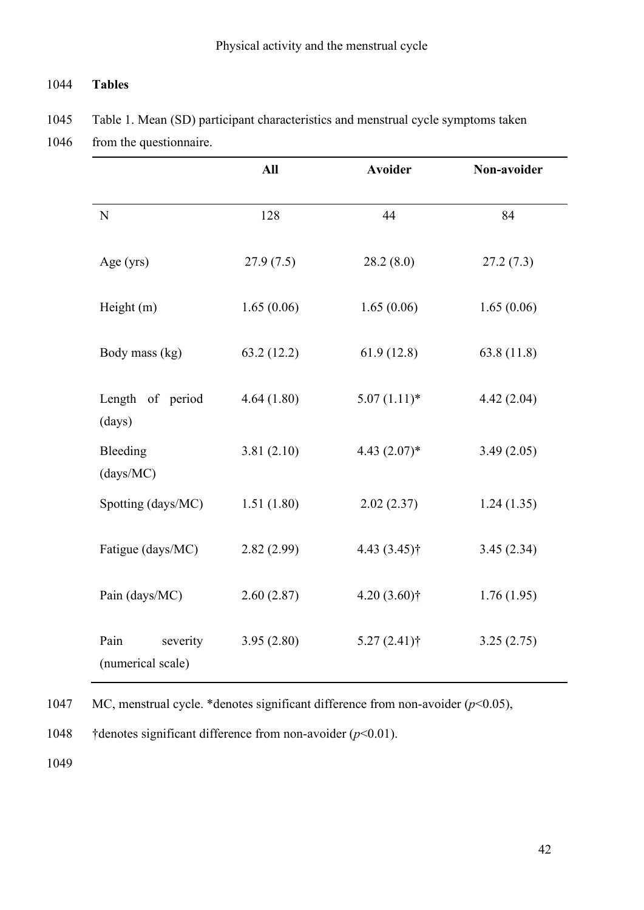## 1044 **Tables**

1045 Table 1. Mean (SD) participant characteristics and menstrual cycle symptoms taken

1046 from the questionnaire.

|                                       | All        | <b>Avoider</b>  | Non-avoider |
|---------------------------------------|------------|-----------------|-------------|
| N                                     | 128        | 44              | 84          |
| Age (yrs)                             | 27.9(7.5)  | 28.2(8.0)       | 27.2(7.3)   |
| Height (m)                            | 1.65(0.06) | 1.65(0.06)      | 1.65(0.06)  |
| Body mass (kg)                        | 63.2(12.2) | 61.9(12.8)      | 63.8(11.8)  |
| Length of period<br>(days)            | 4.64(1.80) | $5.07(1.11)*$   | 4.42(2.04)  |
| Bleeding<br>(days/MC)                 | 3.81(2.10) | 4.43 $(2.07)$ * | 3.49(2.05)  |
| Spotting (days/MC)                    | 1.51(1.80) | 2.02(2.37)      | 1.24(1.35)  |
| Fatigue (days/MC)                     | 2.82(2.99) | $4.43(3.45)$ †  | 3.45(2.34)  |
| Pain (days/MC)                        | 2.60(2.87) | $4.20(3.60)$ †  | 1.76(1.95)  |
| Pain<br>severity<br>(numerical scale) | 3.95(2.80) | $5.27(2.41)$ †  | 3.25(2.75)  |

1047 MC, menstrual cycle. \*denotes significant difference from non-avoider (*p*<0.05),

1048 †denotes significant difference from non-avoider (*p*<0.01).